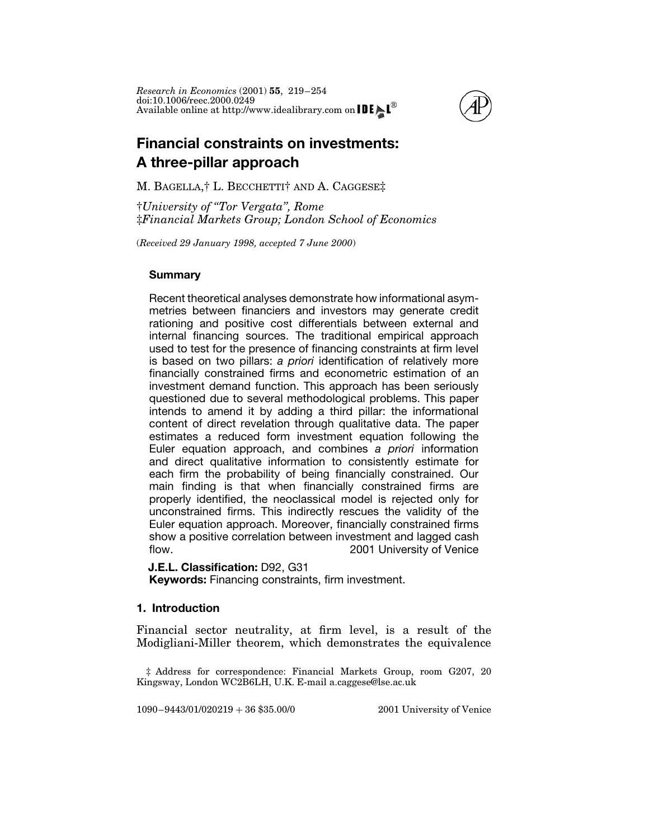

# **Financial constraints on investments: A three-pillar approach**

M. BAGELLA,† L. BECCHETTI† AND A. CAGGESE‡

†*University of ''Tor Vergata'', Rome* ‡*Financial Markets Group; London School of Economics*

(*Received 29 January 1998, accepted 7 June 2000*)

# **Summary**

Recent theoretical analyses demonstrate how informational asymmetries between financiers and investors may generate credit rationing and positive cost differentials between external and internal financing sources. The traditional empirical approach used to test for the presence of financing constraints at firm level is based on two pillars: *a priori* identification of relatively more financially constrained firms and econometric estimation of an investment demand function. This approach has been seriously questioned due to several methodological problems. This paper intends to amend it by adding a third pillar: the informational content of direct revelation through qualitative data. The paper estimates a reduced form investment equation following the Euler equation approach, and combines *a priori* information and direct qualitative information to consistently estimate for each firm the probability of being financially constrained. Our main finding is that when financially constrained firms are properly identified, the neoclassical model is rejected only for unconstrained firms. This indirectly rescues the validity of the Euler equation approach. Moreover, financially constrained firms show a positive correlation between investment and lagged cash flow. 2001 University of Venice

# **J.E.L. Classification:** D92, G31

**Keywords:** Financing constraints, firm investment.

# **1. Introduction**

Financial sector neutrality, at firm level, is a result of the Modigliani-Miller theorem, which demonstrates the equivalence

‡ Address for correspondence: Financial Markets Group, room G207, 20 Kingsway, London WC2B6LH, U.K. E-mail a.caggese@lse.ac.uk

1090–9443/01/020219 + 36 \$35.00/0  $\degree$  2001 University of Venice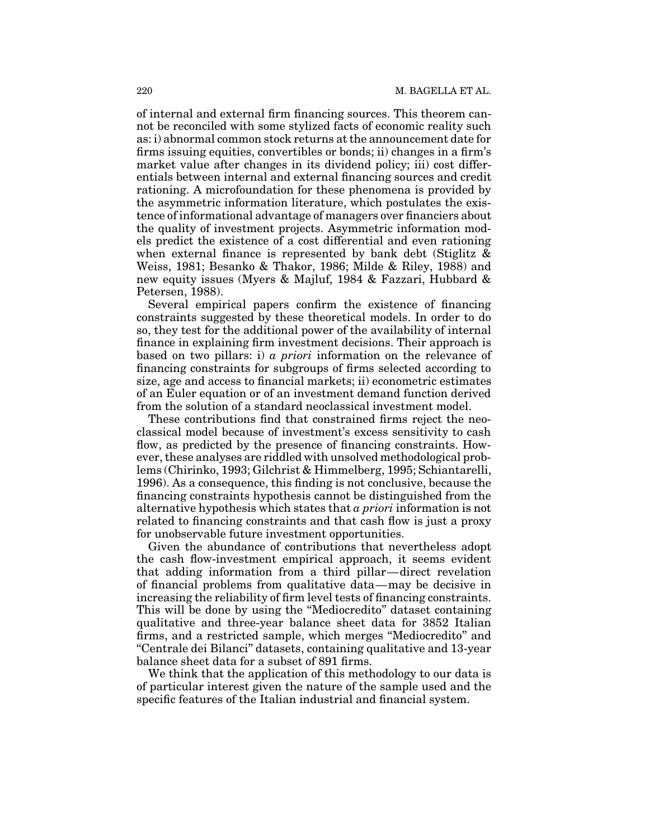of internal and external firm financing sources. This theorem cannot be reconciled with some stylized facts of economic reality such as: i) abnormal common stock returns at the announcement date for firms issuing equities, convertibles or bonds; ii) changes in a firm's market value after changes in its dividend policy; iii) cost differentials between internal and external financing sources and credit rationing. A microfoundation for these phenomena is provided by the asymmetric information literature, which postulates the existence of informational advantage of managers over financiers about the quality of investment projects. Asymmetric information models predict the existence of a cost differential and even rationing when external finance is represented by bank debt [\(Stiglitz &](#page-25-0) [Weiss, 1981;](#page-25-0) Besanko & Thakor, 1986; [Milde & Riley, 1988\)](#page-25-0) and new equity issues [\(Myers & Majluf, 1984](#page-25-0) & [Fazzari, Hubbard &](#page-24-0) [Petersen, 1988\)](#page-24-0).

Several empirical papers confirm the existence of financing constraints suggested by these theoretical models. In order to do so, they test for the additional power of the availability of internal finance in explaining firm investment decisions. Their approach is based on two pillars: i) *a priori* information on the relevance of financing constraints for subgroups of firms selected according to size, age and access to financial markets; ii) econometric estimates of an Euler equation or of an investment demand function derived from the solution of a standard neoclassical investment model.

These contributions find that constrained firms reject the neoclassical model because of investment's excess sensitivity to cash flow, as predicted by the presence of financing constraints. However, these analyses are riddled with unsolved methodological problems ([Chirinko, 1993; Gilchrist & Himmelberg, 1995;](#page-24-0) [Schiantarelli,](#page-25-0) [1996\).](#page-25-0) As a consequence, this finding is not conclusive, because the financing constraints hypothesis cannot be distinguished from the alternative hypothesis which states that *a priori* information is not related to financing constraints and that cash flow is just a proxy for unobservable future investment opportunities.

Given the abundance of contributions that nevertheless adopt the cash flow-investment empirical approach, it seems evident that adding information from a third pillar—direct revelation of financial problems from qualitative data—may be decisive in increasing the reliability of firm level tests of financing constraints. This will be done by using the ''Mediocredito'' dataset containing qualitative and three-year balance sheet data for 3852 Italian firms, and a restricted sample, which merges ''Mediocredito'' and ''Centrale dei Bilanci'' datasets, containing qualitative and 13-year balance sheet data for a subset of 891 firms.

We think that the application of this methodology to our data is of particular interest given the nature of the sample used and the specific features of the Italian industrial and financial system.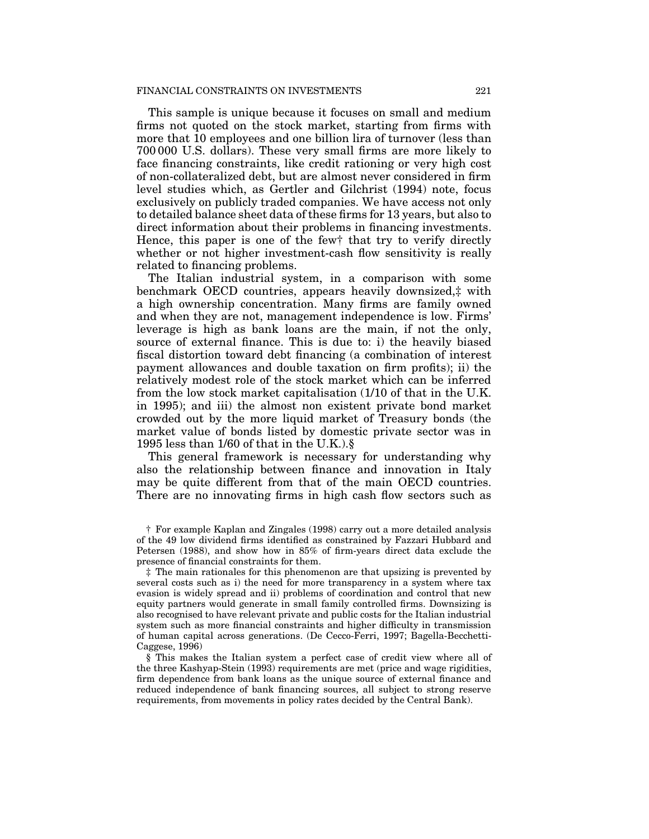#### FINANCIAL CONSTRAINTS ON INVESTMENTS 221

This sample is unique because it focuses on small and medium firms not quoted on the stock market, starting from firms with more that 10 employees and one billion lira of turnover (less than 700 000 U.S. dollars). These very small firms are more likely to face financing constraints, like credit rationing or very high cost of non-collateralized debt, but are almost never considered in firm level studies which, as [Gertler and Gilchrist \(1994\)](#page-24-0) note, focus exclusively on publicly traded companies. We have access not only to detailed balance sheet data of these firms for 13 years, but also to direct information about their problems in financing investments. Hence, this paper is one of the few† that try to verify directly whether or not higher investment-cash flow sensitivity is really related to financing problems.

The Italian industrial system, in a comparison with some benchmark OECD countries, appears heavily downsized,‡ with a high ownership concentration. Many firms are family owned and when they are not, management independence is low. Firms' leverage is high as bank loans are the main, if not the only, source of external finance. This is due to: i) the heavily biased fiscal distortion toward debt financing (a combination of interest payment allowances and double taxation on firm profits); ii) the relatively modest role of the stock market which can be inferred from the low stock market capitalisation (1/10 of that in the U.K. in 1995); and iii) the almost non existent private bond market crowded out by the more liquid market of Treasury bonds (the market value of bonds listed by domestic private sector was in 1995 less than 1/60 of that in the U.K.).§

This general framework is necessary for understanding why also the relationship between finance and innovation in Italy may be quite different from that of the main OECD countries. There are no innovating firms in high cash flow sectors such as

§ This makes the Italian system a perfect case of credit view where all of the three [Kashyap-Stein \(1993\)](#page-25-0) requirements are met (price and wage rigidities, firm dependence from bank loans as the unique source of external finance and reduced independence of bank financing sources, all subject to strong reserve requirements, from movements in policy rates decided by the Central Bank).

<sup>†</sup> For example [Kaplan and Zingales \(1998\)](#page-25-0) carry out a more detailed analysis of the 49 low dividend firms identified as constrained by [Fazzari Hubbard and](#page-24-0) [Petersen \(1988\),](#page-24-0) and show how in 85% of firm-years direct data exclude the presence of financial constraints for them.

<sup>‡</sup> The main rationales for this phenomenon are that upsizing is prevented by several costs such as i) the need for more transparency in a system where tax evasion is widely spread and ii) problems of coordination and control that new equity partners would generate in small family controlled firms. Downsizing is also recognised to have relevant private and public costs for the Italian industrial system such as more financial constraints and higher difficulty in transmission of human capital across generations. (De Cecco-Ferri, 1997; [Bagella-Becchetti-](#page-24-0)[Caggese, 1996\)](#page-24-0)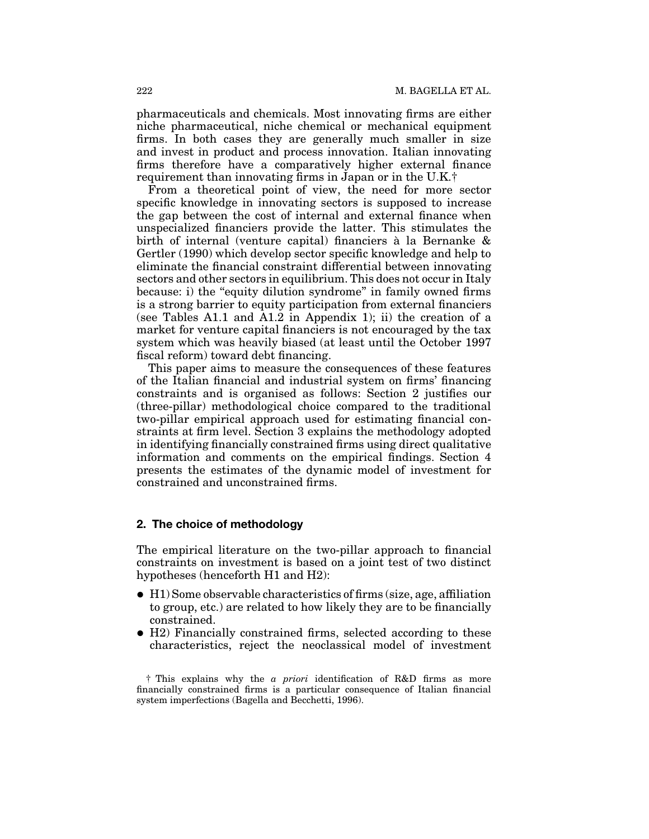pharmaceuticals and chemicals. Most innovating firms are either niche pharmaceutical, niche chemical or mechanical equipment firms. In both cases they are generally much smaller in size and invest in product and process innovation. Italian innovating firms therefore have a comparatively higher external finance requirement than innovating firms in Japan or in the U.K.†

From a theoretical point of view, the need for more sector specific knowledge in innovating sectors is supposed to increase the gap between the cost of internal and external finance when unspecialized financiers provide the latter. This stimulates the birth of internal (venture capital) financiers à la Bernanke  $\&$ [Gertler \(1990\)](#page-24-0) which develop sector specific knowledge and help to eliminate the financial constraint differential between innovating sectors and other sectors in equilibrium. This does not occur in Italy because: i) the "equity dilution syndrome" in family owned firms is a strong barrier to equity participation from external financiers (see [Tables A1.1](#page-25-0) and [A1.2 i](#page-27-0)n Appendix 1); ii) the creation of a market for venture capital financiers is not encouraged by the tax system which was heavily biased (at least until the October 1997 fiscal reform) toward debt financing.

This paper aims to measure the consequences of these features of the Italian financial and industrial system on firms' financing constraints and is organised as follows: Section 2 justifies our (three-pillar) methodological choice compared to the traditional two-pillar empirical approach used for estimating financial constraints at firm level. Section 3 explains the methodology adopted in identifying financially constrained firms using direct qualitative information and comments on the empirical findings. Section 4 presents the estimates of the dynamic model of investment for constrained and unconstrained firms.

## **2. The choice of methodology**

The empirical literature on the two-pillar approach to financial constraints on investment is based on a joint test of two distinct hypotheses (henceforth H1 and H2):

- $\bullet$  H1) Some observable characteristics of firms (size, age, affiliation to group, etc.) are related to how likely they are to be financially constrained.
- H2) Financially constrained firms, selected according to these characteristics, reject the neoclassical model of investment

† This explains why the *a priori* identification of R&D firms as more financially constrained firms is a particular consequence of Italian financial system imperfections [\(Bagella and Becchetti, 1996\)](#page-24-0).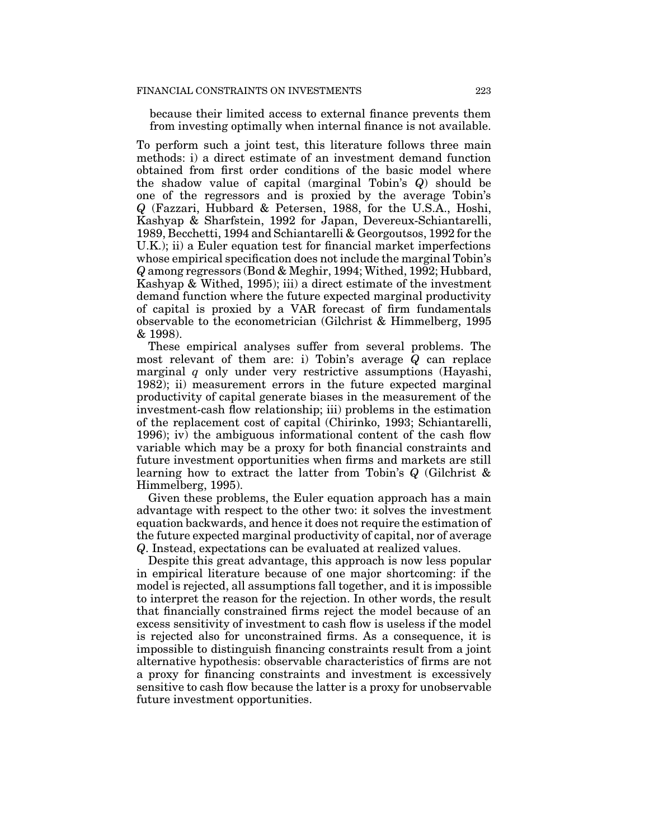because their limited access to external finance prevents them from investing optimally when internal finance is not available.

To perform such a joint test, this literature follows three main methods: i) a direct estimate of an investment demand function obtained from first order conditions of the basic model where the shadow value of capital (marginal Tobin's *Q*) should be one of the regressors and is proxied by the average Tobin's *Q* [\(Fazzari, Hubbard & Petersen, 1988,](#page-24-0) for the U.S.A., [Hoshi,](#page-24-0) [Kashyap & Sharfstein, 1992](#page-24-0) for Japan, [Devereux-Schiantarelli,](#page-24-0) [1989](#page-24-0), Becchetti, 1994 and Schiantarelli & Georgoutsos, 1992 for the U.K.); ii) a Euler equation test for financial market imperfections whose empirical specification does not include the marginal Tobin's *Q* among regressors ([Bond & Meghir, 1994;](#page-24-0) [Withed, 1992;](#page-25-0) [Hubbard,](#page-24-0) [Kashyap & Withed, 1995\)](#page-24-0); iii) a direct estimate of the investment demand function where the future expected marginal productivity of capital is proxied by a VAR forecast of firm fundamentals observable to the econometrician [\(Gilchrist & Himmelberg, 1995](#page-24-0) & 1998).

These empirical analyses suffer from several problems. The most relevant of them are: i) Tobin's average *Q* can replace marginal *q* only under very restrictive assumptions [\(Hayashi,](#page-24-0) [1982\)](#page-24-0); ii) measurement errors in the future expected marginal productivity of capital generate biases in the measurement of the investment-cash flow relationship; iii) problems in the estimation of the replacement cost of capital [\(Chirinko, 1993;](#page-24-0) [Schiantarelli,](#page-25-0) [1996\)](#page-25-0); iv) the ambiguous informational content of the cash flow variable which may be a proxy for both financial constraints and future investment opportunities when firms and markets are still learning how to extract the latter from Tobin's *Q* [\(Gilchrist &](#page-24-0) [Himmelberg, 1995\)](#page-24-0).

Given these problems, the Euler equation approach has a main advantage with respect to the other two: it solves the investment equation backwards, and hence it does not require the estimation of the future expected marginal productivity of capital, nor of average *Q*. Instead, expectations can be evaluated at realized values.

Despite this great advantage, this approach is now less popular in empirical literature because of one major shortcoming: if the model is rejected, all assumptions fall together, and it is impossible to interpret the reason for the rejection. In other words, the result that financially constrained firms reject the model because of an excess sensitivity of investment to cash flow is useless if the model is rejected also for unconstrained firms. As a consequence, it is impossible to distinguish financing constraints result from a joint alternative hypothesis: observable characteristics of firms are not a proxy for financing constraints and investment is excessively sensitive to cash flow because the latter is a proxy for unobservable future investment opportunities.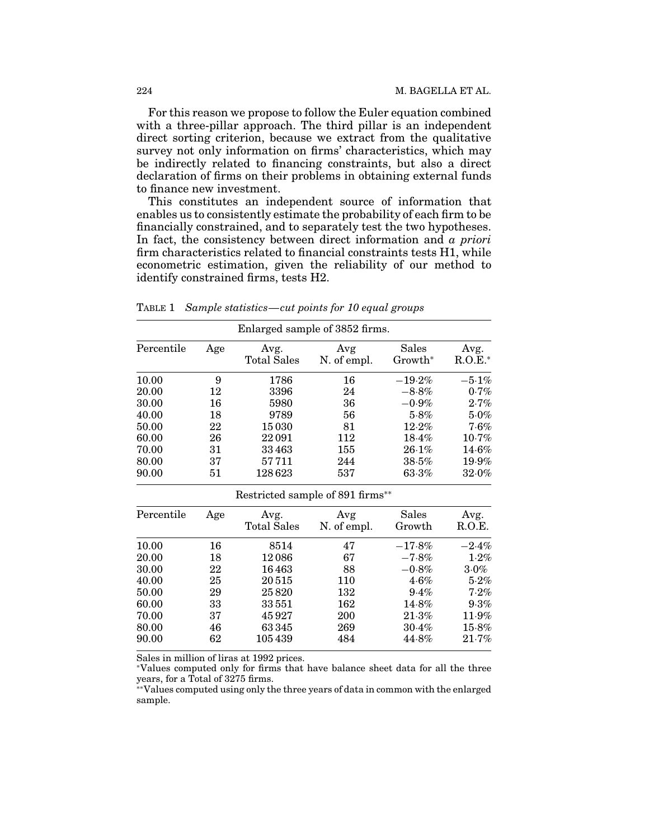<span id="page-5-0"></span>For this reason we propose to follow the Euler equation combined with a three-pillar approach. The third pillar is an independent direct sorting criterion, because we extract from the qualitative survey not only information on firms' characteristics, which may be indirectly related to financing constraints, but also a direct declaration of firms on their problems in obtaining external funds to finance new investment.

This constitutes an independent source of information that enables us to consistently estimate the probability of each firm to be financially constrained, and to separately test the two hypotheses. In fact, the consistency between direct information and *a priori* firm characteristics related to financial constraints tests H1, while econometric estimation, given the reliability of our method to identify constrained firms, tests H2.

|            |     |                                  | Enlarged sample of 3852 firms. |           |           |
|------------|-----|----------------------------------|--------------------------------|-----------|-----------|
| Percentile | Age | Avg.                             | Avg                            | Sales     | Avg.      |
|            |     | Total Sales                      | N. of empl.                    | Growth*   | $R.O.E.*$ |
| 10.00      | 9   | 1786                             | 16                             | $-19.2\%$ | $-5.1\%$  |
| 20.00      | 12  | 3396                             | 24                             | $-8.8\%$  | 0.7%      |
| 30.00      | 16  | 5980                             | 36                             | $-0.9\%$  | 2.7%      |
| 40.00      | 18  | 9789                             | 56                             | 5.8%      | 5.0%      |
| 50.00      | 22  | 15 030                           | 81                             | $12.2\%$  | $7.6\%$   |
| 60.00      | 26  | 22091                            | 112                            | $18.4\%$  | $10.7\%$  |
| 70.00      | 31  | 33463                            | 155                            | $26.1\%$  | $14.6\%$  |
| 80.00      | 37  | 57 711                           | 244                            | $38.5\%$  | 19.9%     |
| 90.00      | 51  | 128623                           | 537                            | $63.3\%$  | 32.0%     |
|            |     | Restricted sample of 891 firms** |                                |           |           |
| Percentile | Age | Avg.                             | Avg                            | Sales     | Avg.      |
|            |     | <b>Total Sales</b>               | N. of empl.                    | Growth    | R.O.E.    |
| 10.00      | 16  | 8514                             | 47                             | $-17.8%$  | $-2.4%$   |
| 20.00      | 18  | 12086                            | 67                             | $-7.8\%$  | 1.2%      |
| 30.00      | 22  | 16463                            | 88                             | $-0.8\%$  | $3.0\%$   |
| 40.00      | 25  | $20\,515$                        | 110                            | $4.6\%$   | 5.2%      |
| 50.00      | 29  | 25820                            | 132                            | 9.4%      | 7.2%      |
| 60.00      | 33  | $33\,551$                        | 162                            | 14.8%     | $9.3\%$   |
| 70.00      | 37  | 45927                            | 200                            | $21.3\%$  | 11.9%     |
| 80.00      | 46  | 63345                            | 269                            | 30.4%     | 15.8%     |
| 90.00      | 62  | 105439                           | 484                            | $44.8\%$  | $21.7\%$  |

TABLE 1 *Sample statistics—cut points for 10 equal groups*

Sales in million of liras at 1992 prices.

\*Values computed only for firms that have balance sheet data for all the three years, for a Total of 3275 firms.

\*\*Values computed using only the three years of data in common with the enlarged sample.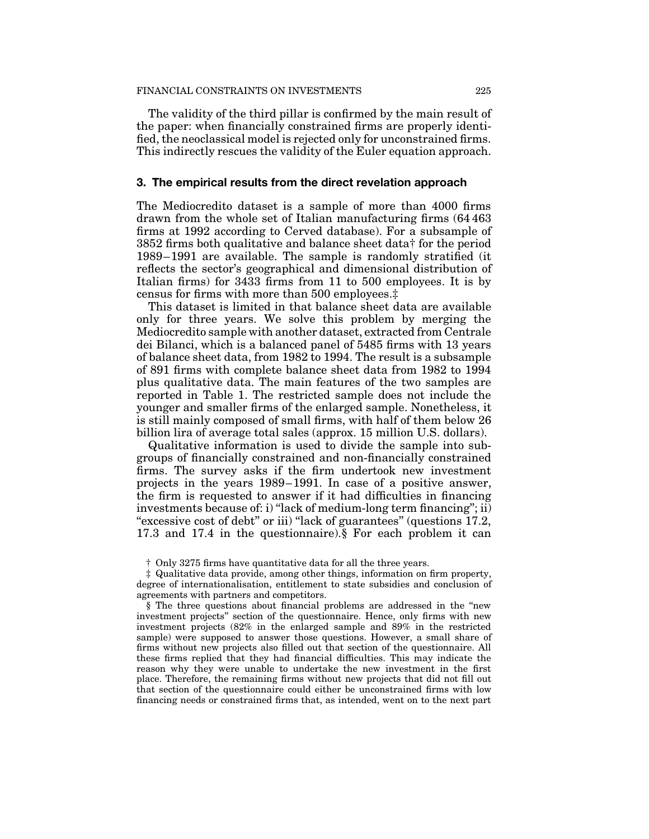#### FINANCIAL CONSTRAINTS ON INVESTMENTS 225

The validity of the third pillar is confirmed by the main result of the paper: when financially constrained firms are properly identified, the neoclassical model is rejected only for unconstrained firms. This indirectly rescues the validity of the Euler equation approach.

### **3. The empirical results from the direct revelation approach**

The Mediocredito dataset is a sample of more than 4000 firms drawn from the whole set of Italian manufacturing firms (64 463 firms at 1992 according to Cerved database). For a subsample of 3852 firms both qualitative and balance sheet data† for the period 1989–1991 are available. The sample is randomly stratified (it reflects the sector's geographical and dimensional distribution of Italian firms) for 3433 firms from 11 to 500 employees. It is by census for firms with more than 500 employees.‡

This dataset is limited in that balance sheet data are available only for three years. We solve this problem by merging the Mediocredito sample with another dataset, extracted from Centrale dei Bilanci, which is a balanced panel of 5485 firms with 13 years of balance sheet data, from 1982 to 1994. The result is a subsample of 891 firms with complete balance sheet data from 1982 to 1994 plus qualitative data. The main features of the two samples are reported in [Table 1.](#page-5-0) The restricted sample does not include the younger and smaller firms of the enlarged sample. Nonetheless, it is still mainly composed of small firms, with half of them below 26 billion lira of average total sales (approx. 15 million U.S. dollars).

Qualitative information is used to divide the sample into subgroups of financially constrained and non-financially constrained firms. The survey asks if the firm undertook new investment projects in the years 1989–1991. In case of a positive answer, the firm is requested to answer if it had difficulties in financing investments because of: i) ''lack of medium-long term financing''; ii) "excessive cost of debt" or iii) "lack of guarantees" (questions 17.2, 17.3 and 17.4 in the questionnaire).§ For each problem it can

† Only 3275 firms have quantitative data for all the three years.

‡ Qualitative data provide, among other things, information on firm property, degree of internationalisation, entitlement to state subsidies and conclusion of agreements with partners and competitors.

§ The three questions about financial problems are addressed in the ''new investment projects'' section of the questionnaire. Hence, only firms with new investment projects (82% in the enlarged sample and 89% in the restricted sample) were supposed to answer those questions. However, a small share of firms without new projects also filled out that section of the questionnaire. All these firms replied that they had financial difficulties. This may indicate the reason why they were unable to undertake the new investment in the first place. Therefore, the remaining firms without new projects that did not fill out that section of the questionnaire could either be unconstrained firms with low financing needs or constrained firms that, as intended, went on to the next part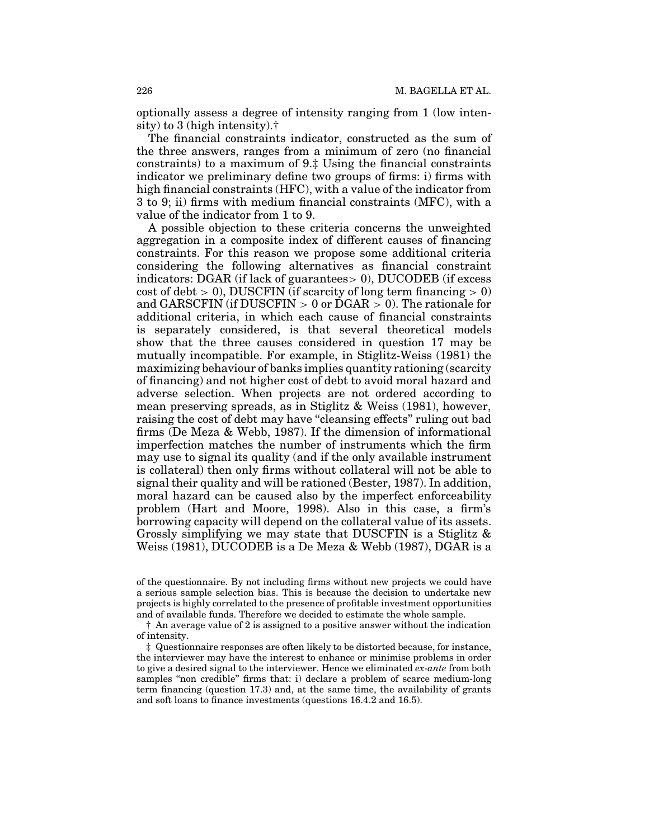optionally assess a degree of intensity ranging from 1 (low intensity) to 3 (high intensity).†

The financial constraints indicator, constructed as the sum of the three answers, ranges from a minimum of zero (no financial constraints) to a maximum of 9.‡ Using the financial constraints indicator we preliminary define two groups of firms: i) firms with high financial constraints (HFC), with a value of the indicator from 3 to 9; ii) firms with medium financial constraints (MFC), with a value of the indicator from 1 to 9.

A possible objection to these criteria concerns the unweighted aggregation in a composite index of different causes of financing constraints. For this reason we propose some additional criteria considering the following alternatives as financial constraint indicators: DGAR (if lack of guarantees > 0), DUCODEB (if excess  $\text{cost of debt} > 0$ , DUSCFIN (if scarcity of long term financing  $> 0$ ) and GARSCFIN (if DUSCFIN  $> 0$  or DGAR  $> 0$ ). The rationale for additional criteria, in which each cause of financial constraints is separately considered, is that several theoretical models show that the three causes considered in question 17 may be mutually incompatible. For example, in [Stiglitz-Weiss \(1981\)](#page-25-0) the maximizing behaviour of banks implies quantity rationing (scarcity of financing) and not higher cost of debt to avoid moral hazard and adverse selection. When projects are not ordered according to mean preserving spreads, as in [Stiglitz & Weiss \(1981\),](#page-25-0) however, raising the cost of debt may have "cleansing effects" ruling out bad firms [\(De Meza & Webb, 1987](#page-24-0)). If the dimension of informational imperfection matches the number of instruments which the firm may use to signal its quality (and if the only available instrument is collateral) then only firms without collateral will not be able to signal their quality and will be rationed ([Bester, 1987\)](#page-24-0). In addition, moral hazard can be caused also by the imperfect enforceability problem ([Hart and Moore, 1998\).](#page-24-0) Also in this case, a firm's borrowing capacity will depend on the collateral value of its assets. Grossly simplifying we may state that DUSCFIN is a [Stiglitz &](#page-25-0) [Weiss \(1981\),](#page-25-0) DUCODEB is a [De Meza & Webb \(1987\),](#page-24-0) DGAR is a

† An average value of 2 is assigned to a positive answer without the indication of intensity.

‡ Questionnaire responses are often likely to be distorted because, for instance, the interviewer may have the interest to enhance or minimise problems in order to give a desired signal to the interviewer. Hence we eliminated *ex-ante* from both samples "non credible" firms that: i) declare a problem of scarce medium-long term financing (question 17.3) and, at the same time, the availability of grants and soft loans to finance investments (questions 16.4.2 and 16.5).

of the questionnaire. By not including firms without new projects we could have a serious sample selection bias. This is because the decision to undertake new projects is highly correlated to the presence of profitable investment opportunities and of available funds. Therefore we decided to estimate the whole sample.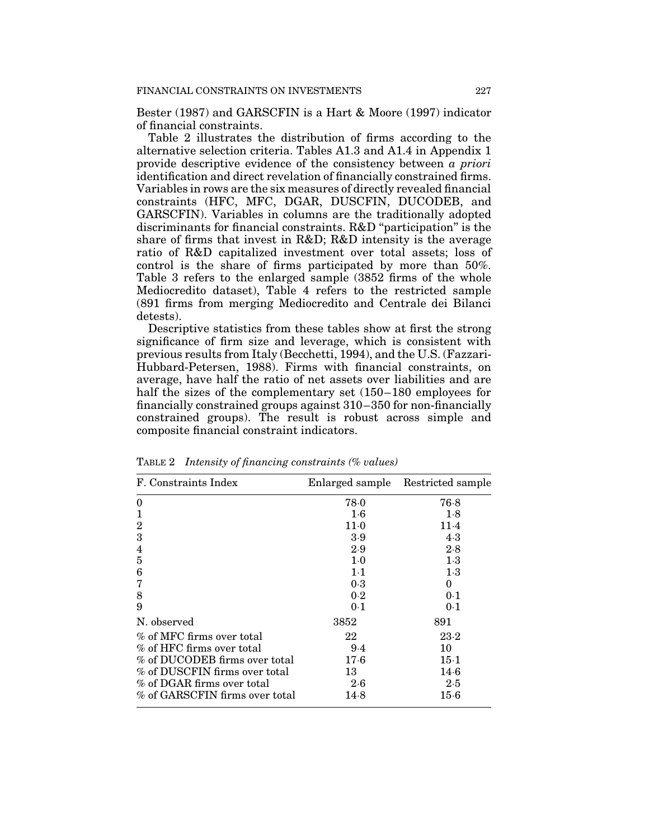[Bester \(1987\)](#page-24-0) and GARSCFIN is a Hart & Moore (1997) indicator of financial constraints.

Table 2 illustrates the distribution of firms according to the alternative selection criteria. [Tables A1.3](#page-32-0) and [A1.4](#page-29-0) in Appendix 1 provide descriptive evidence of the consistency between *a priori* identification and direct revelation of financially constrained firms. Variables in rows are the six measures of directly revealed financial constraints (HFC, MFC, DGAR, DUSCFIN, DUCODEB, and GARSCFIN). Variables in columns are the traditionally adopted discriminants for financial constraints. R&D "participation" is the share of firms that invest in R&D; R&D intensity is the average ratio of R&D capitalized investment over total assets; loss of control is the share of firms participated by more than 50%. [Table 3](#page-9-0) refers to the enlarged sample (3852 firms of the whole Mediocredito dataset), [Table 4](#page-10-0) refers to the restricted sample (891 firms from merging Mediocredito and Centrale dei Bilanci detests).

Descriptive statistics from these tables show at first the strong significance of firm size and leverage, which is consistent with previous results from Italy (Becchetti, 1994), and the U.S. ([Fazzari-](#page-24-0)[Hubbard-Petersen, 1988\).](#page-24-0) Firms with financial constraints, on average, have half the ratio of net assets over liabilities and are half the sizes of the complementary set  $(150-180$  employees for financially constrained groups against 310–350 for non-financially constrained groups). The result is robust across simple and composite financial constraint indicators.

| F. Constraints Index           |       | Enlarged sample Restricted sample |
|--------------------------------|-------|-----------------------------------|
| $\boldsymbol{0}$               | 78.0  | 76.8                              |
| 1                              | 1·6   | 1.8                               |
| $\,2$                          | 11.0  | 11.4                              |
| 3                              | 3.9   | 4.3                               |
| 4                              | 2.9   | 2.8                               |
| 5                              | 1.0   | 1.3                               |
| 6                              | $1-1$ | 1.3                               |
| 7                              | 0.3   | 0                                 |
| 8                              | 0.2   | 0.1                               |
| 9                              | 0.1   | 0.1                               |
| N. observed                    | 3852  | 891                               |
| % of MFC firms over total      | 22    | 23.2                              |
| % of HFC firms over total      | 9.4   | 10                                |
| % of DUCODEB firms over total  | 17.6  | $15-1$                            |
| % of DUSCFIN firms over total  | 13    | 14.6                              |
| % of DGAR firms over total     | 2·6   | 2.5                               |
| % of GARSCFIN firms over total | 14.8  | 15.6                              |

TABLE 2 *Intensity of financing constraints (% values)*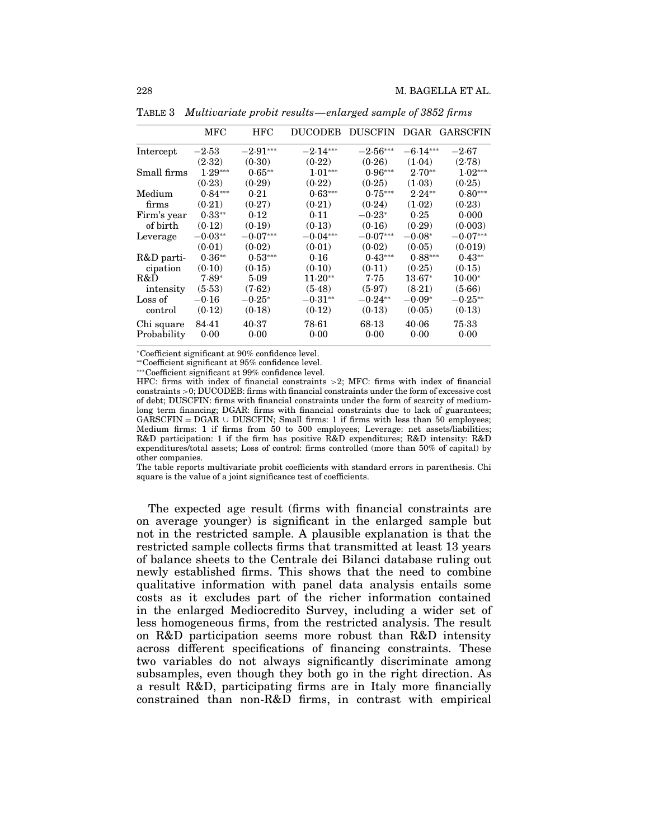|             | MFC       | <b>HFC</b> | <b>DUCODEB</b> | <b>DUSCFIN</b> | DGAR       | GARSCFIN   |
|-------------|-----------|------------|----------------|----------------|------------|------------|
| Intercept   | $-2.53$   | $-2.91***$ | $-2.14***$     | $-2.56***$     | $-6.14***$ | $^{-2.67}$ |
|             | (2.32)    | (0.30)     | (0.22)         | (0.26)         | (1.04)     | (2.78)     |
| Small firms | $1.29***$ | $0.65**$   | $1.01***$      | $0.96***$      | $2.70**$   | $1.02***$  |
|             | (0.23)    | (0.29)     | (0.22)         | (0.25)         | (1.03)     | (0.25)     |
| Medium      | $0.84***$ | 0.21       | $0.63***$      | $0.75***$      | $2.24**$   | $0.80***$  |
| firms       | (0.21)    | (0.27)     | (0.21)         | (0.24)         | (1.02)     | (0.23)     |
| Firm's year | $0.33**$  | 0.12       | 0.11           | $-0.23*$       | 0.25       | 0.000      |
| of birth    | (0.12)    | (0.19)     | (0.13)         | (0.16)         | (0.29)     | (0.003)    |
| Leverage    | $-0.03**$ | $-0.07***$ | $-0.04***$     | $-0.07***$     | $-0.08*$   | $-0.07***$ |
|             | (0.01)    | (0.02)     | (0.01)         | (0.02)         | (0.05)     | (0.019)    |
| R&D parti-  | $0.36**$  | $0.53***$  | 0.16           | $0.43***$      | $0.88***$  | $0.43**$   |
| cipation    | (0.10)    | (0.15)     | (0.10)         | (0.11)         | (0.25)     | (0.15)     |
| R&D         | $7.89*$   | 5.09       | $11.20**$      | 7.75           | $13.67*$   | $10.00*$   |
| intensity   | (5.53)    | (7.62)     | (5.48)         | (5.97)         | (8.21)     | (5.66)     |
| Loss of     | $-0.16$   | $-0.25*$   | $-0.31**$      | $-0.24**$      | $-0.09*$   | $-0.25**$  |
| control     | (0.12)    | (0.18)     | (0.12)         | (0.13)         | (0.05)     | (0.13)     |
| Chi square  | 84.41     | 40.37      | 78.61          | 68.13          | 40.06      | 75.33      |
| Probability | 0.00      | 0.00       | 0.00           | 0.00           | 0.00       | 0.00       |

<span id="page-9-0"></span>TABLE 3 *Multivariate probit results—enlarged sample of 3852 firms*

<sup>Ł</sup>Coefficient significant at 90% confidence level.

\*\* Coefficient significant at 95% confidence level.

\*\*\*Coefficient significant at 99% confidence level.

HFC: firms with index of financial constraints >2; MFC: firms with index of financial constraints >0; DUCODEB: firms with financial constraints under the form of excessive cost of debt; DUSCFIN: firms with financial constraints under the form of scarcity of mediumlong term financing; DGAR: firms with financial constraints due to lack of guarantees;  $GARSCFIN = DGAN \cup DUSCFIN$ ; Small firms: 1 if firms with less than 50 employees; Medium firms: 1 if firms from 50 to 500 employees; Leverage: net assets/liabilities; R&D participation: 1 if the firm has positive R&D expenditures; R&D intensity: R&D expenditures/total assets; Loss of control: firms controlled (more than 50% of capital) by other companies.

The table reports multivariate probit coefficients with standard errors in parenthesis. Chi square is the value of a joint significance test of coefficients.

The expected age result (firms with financial constraints are on average younger) is significant in the enlarged sample but not in the restricted sample. A plausible explanation is that the restricted sample collects firms that transmitted at least 13 years of balance sheets to the Centrale dei Bilanci database ruling out newly established firms. This shows that the need to combine qualitative information with panel data analysis entails some costs as it excludes part of the richer information contained in the enlarged Mediocredito Survey, including a wider set of less homogeneous firms, from the restricted analysis. The result on R&D participation seems more robust than R&D intensity across different specifications of financing constraints. These two variables do not always significantly discriminate among subsamples, even though they both go in the right direction. As a result R&D, participating firms are in Italy more financially constrained than non-R&D firms, in contrast with empirical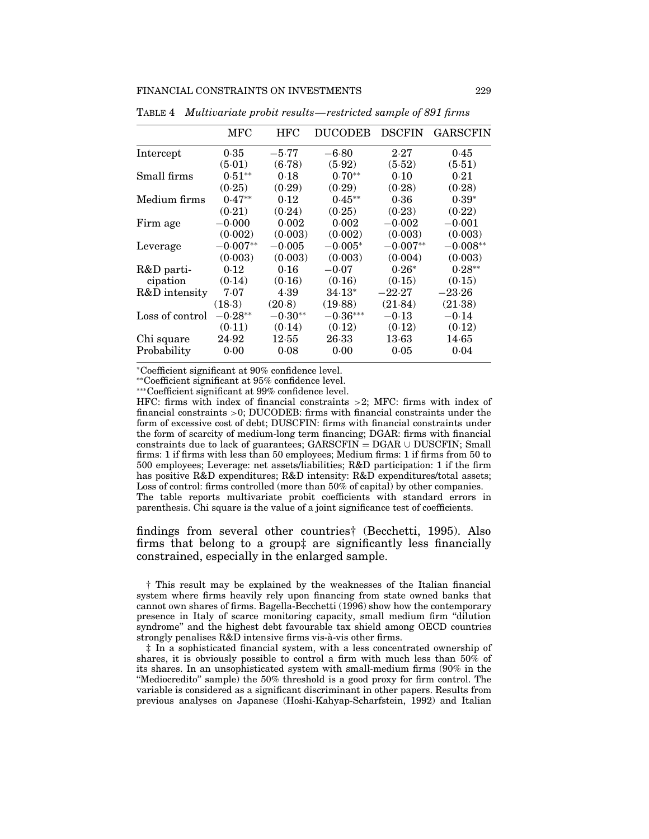|                 | MFC        | <b>HFC</b> | <b>DUCODEB</b> | <b>DSCFIN</b>          | GARSCFIN   |
|-----------------|------------|------------|----------------|------------------------|------------|
| Intercept       | 0.35       | $-5.77$    | $-6.80$        | 2.27                   | 0.45       |
|                 | (5.01)     | (6.78)     | (5.92)         | (5.52)                 | (5.51)     |
| Small firms     | $0.51**$   | 0.18       | $0.70**$       | 0.10                   | 0.21       |
|                 | (0.25)     | (0.29)     | (0.29)         | (0.28)                 | (0.28)     |
| Medium firms    | $0.47**$   | 0.12       | $0.45**$       | 0.36                   | $0.39*$    |
|                 | (0.21)     | (0.24)     | (0.25)         | (0.23)                 | (0.22)     |
| Firm age        | $-0.000$   | 0.002      | 0.002          | $-0.002$               | $-0.001$   |
|                 | (0.002)    | (0.003)    | (0.002)        | (0.003)                | (0.003)    |
| Leverage        | $-0.007**$ | $-0.005$   | $-0.005*$      | $-0.007**$             | $-0.008**$ |
|                 | (0.003)    | (0.003)    | (0.003)        | (0.004)                | (0.003)    |
| R&D parti-      | 0.12       | 0.16       | $-0.07$        | $0.26*$                | $0.28**$   |
| cipation        | (0.14)     | (0.16)     | (0.16)         | (0.15)                 | (0.15)     |
| R&D intensity   | 7.07       | 4.39       | $34.13*$       | $-22\mathord{\cdot}27$ | $-23.26$   |
|                 | (18.3)     | (20.8)     | (19.88)        | (21.84)                | (21.38)    |
| Loss of control | $-0.28**$  | $-0.30**$  | $-0.36***$     | $-0.13$                | $-0.14$    |
|                 | (0.11)     | (0.14)     | (0.12)         | (0.12)                 | (0.12)     |
| Chi square      | 24.92      | 12.55      | 26.33          | 13.63                  | 14.65      |
| Probability     | 0.00       | 0.08       | 0.00           | 0.05                   | 0.04       |

<span id="page-10-0"></span>TABLE 4 *Multivariate probit results—restricted sample of 891 firms*

<sup>Ł</sup>Coefficient significant at 90% confidence level.

 $*$ Coefficient significant at 95% confidence level.

\*\*\*Coefficient significant at 99% confidence level.

HFC: firms with index of financial constraints >2; MFC: firms with index of financial constraints >0; DUCODEB: firms with financial constraints under the form of excessive cost of debt; DUSCFIN: firms with financial constraints under the form of scarcity of medium-long term financing; DGAR: firms with financial constraints due to lack of guarantees;  $GARSCFIN = DGAR \cup DUSCFIN$ ; Small firms: 1 if firms with less than 50 employees; Medium firms: 1 if firms from 50 to 500 employees; Leverage: net assets/liabilities; R&D participation: 1 if the firm has positive R&D expenditures; R&D intensity: R&D expenditures/total assets; Loss of control: firms controlled (more than 50% of capital) by other companies. The table reports multivariate probit coefficients with standard errors in parenthesis. Chi square is the value of a joint significance test of coefficients.

findings from several other countries† ([Becchetti, 1995\)](#page-24-0). Also firms that belong to a group<sup>†</sup> are significantly less financially constrained, especially in the enlarged sample.

† This result may be explained by the weaknesses of the Italian financial system where firms heavily rely upon financing from state owned banks that cannot own shares of firms. [Bagella-Becchetti \(1996\)](#page-24-0) show how the contemporary presence in Italy of scarce monitoring capacity, small medium firm ''dilution syndrome'' and the highest debt favourable tax shield among OECD countries strongly penalises R&D intensive firms vis-à-vis other firms.

‡ In a sophisticated financial system, with a less concentrated ownership of shares, it is obviously possible to control a firm with much less than 50% of its shares. In an unsophisticated system with small-medium firms (90% in the ''Mediocredito'' sample) the 50% threshold is a good proxy for firm control. The variable is considered as a significant discriminant in other papers. Results from previous analyses on Japanese ([Hoshi-Kahyap-Scharfstein, 1992\)](#page-24-0) and Italian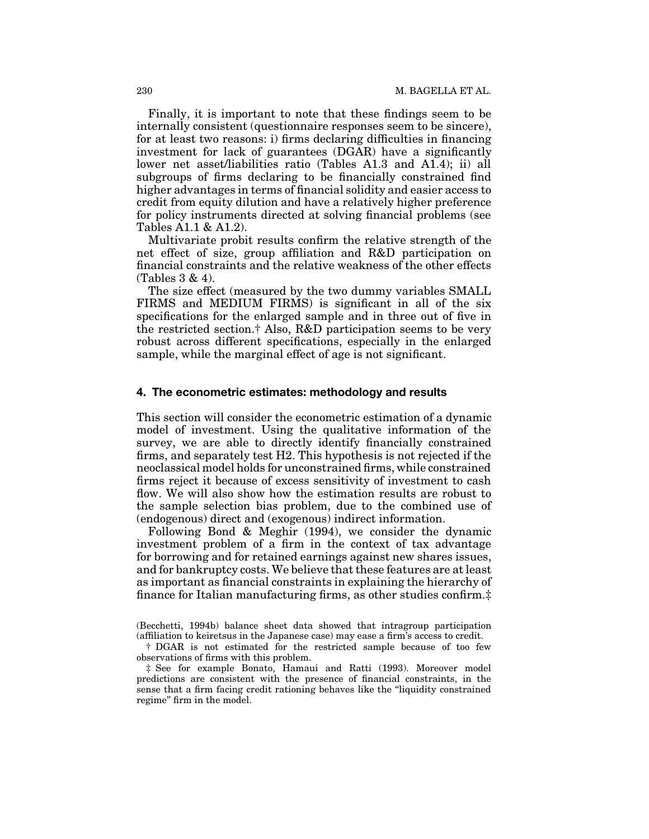Finally, it is important to note that these findings seem to be internally consistent (questionnaire responses seem to be sincere), for at least two reasons: i) firms declaring difficulties in financing investment for lack of guarantees (DGAR) have a significantly lower net asset/liabilities ratio ([Tables A1.3](#page-28-0) and [A1.4\);](#page-29-0) ii) all subgroups of firms declaring to be financially constrained find higher advantages in terms of financial solidity and easier access to credit from equity dilution and have a relatively higher preference for policy instruments directed at solving financial problems (see [Tables A1.1](#page-25-0) [& A1.2\)](#page-27-0).

Multivariate probit results confirm the relative strength of the net effect of size, group affiliation and R&D participation on financial constraints and the relative weakness of the other effects [\(Tables 3](#page-9-0) & [4\).](#page-10-0)

The size effect (measured by the two dummy variables SMALL FIRMS and MEDIUM FIRMS) is significant in all of the six specifications for the enlarged sample and in three out of five in the restricted section.† Also, R&D participation seems to be very robust across different specifications, especially in the enlarged sample, while the marginal effect of age is not significant.

#### **4. The econometric estimates: methodology and results**

This section will consider the econometric estimation of a dynamic model of investment. Using the qualitative information of the survey, we are able to directly identify financially constrained firms, and separately test H2. This hypothesis is not rejected if the neoclassical model holds for unconstrained firms, while constrained firms reject it because of excess sensitivity of investment to cash flow. We will also show how the estimation results are robust to the sample selection bias problem, due to the combined use of (endogenous) direct and (exogenous) indirect information.

Following [Bond & Meghir \(1994\),](#page-24-0) we consider the dynamic investment problem of a firm in the context of tax advantage for borrowing and for retained earnings against new shares issues, and for bankruptcy costs. We believe that these features are at least as important as financial constraints in explaining the hierarchy of finance for Italian manufacturing firms, as other studies confirm. $\ddagger$ 

<sup>(</sup>Becchetti, 1994b) balance sheet data showed that intragroup participation (affiliation to keiretsus in the Japanese case) may ease a firm's access to credit.

<sup>†</sup> DGAR is not estimated for the restricted sample because of too few observations of firms with this problem.

<sup>‡</sup> See for example [Bonato, Hamaui and Ratti \(1993\).](#page-24-0) Moreover model predictions are consistent with the presence of financial constraints, in the sense that a firm facing credit rationing behaves like the ''liquidity constrained regime'' firm in the model.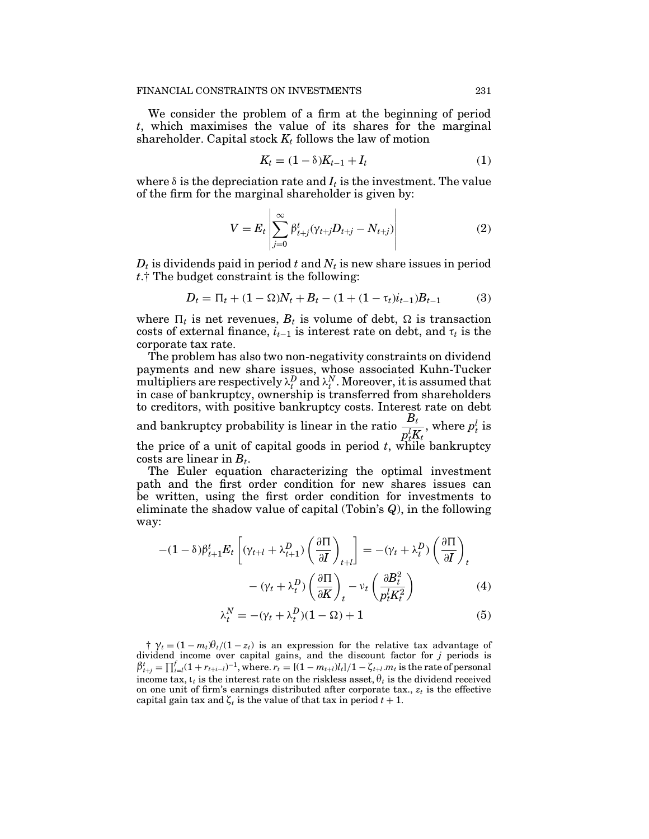We consider the problem of a firm at the beginning of period *t*, which maximises the value of its shares for the marginal shareholder. Capital stock  $K_t$  follows the law of motion

$$
K_t = (1 - \delta)K_{t-1} + I_t
$$
 (1)

where  $\delta$  is the depreciation rate and  $I_t$  is the investment. The value of the firm for the marginal shareholder is given by:

$$
V = E_t \left| \sum_{j=0}^{\infty} \beta_{t+j}^t (\gamma_{t+j} D_{t+j} - N_{t+j}) \right| \tag{2}
$$

 $D_t$  is dividends paid in period *t* and  $N_t$  is new share issues in period *t*.† The budget constraint is the following:

$$
D_t = \Pi_t + (1 - \Omega)N_t + B_t - (1 + (1 - \tau_t)i_{t-1})B_{t-1}
$$
 (3)

where  $\Pi_t$  is net revenues,  $B_t$  is volume of debt,  $\Omega$  is transaction costs of external finance,  $i_{t-1}$  is interest rate on debt, and  $\tau_t$  is the corporate tax rate.

The problem has also two non-negativity constraints on dividend payments and new share issues, whose associated Kuhn-Tucker multipliers are respectively  $\lambda_t^D$  and  $\lambda_t^N$ . Moreover, it is assumed that in case of bankruptcy, ownership is transferred from shareholders to creditors, with positive bankruptcy costs. Interest rate on debt and bankruptcy probability is linear in the ratio  $\frac{B_t}{\sqrt{I}}$  $p^l_t K_t$ , where  $p_t^l$  is the price of a unit of capital goods in period *t*, while bankruptcy costs are linear in *Bt*.

The Euler equation characterizing the optimal investment path and the first order condition for new shares issues can be written, using the first order condition for investments to eliminate the shadow value of capital (Tobin's *Q*), in the following way:

$$
-(1-\delta)\beta_{t+1}^t E_t \left[ (\gamma_{t+l} + \lambda_{t+1}^D) \left( \frac{\partial \Pi}{\partial I} \right)_{t+l} \right] = -(\gamma_t + \lambda_t^D) \left( \frac{\partial \Pi}{\partial I} \right)_t
$$

$$
-(\gamma_t + \lambda_t^D) \left( \frac{\partial \Pi}{\partial K} \right)_t - \nu_t \left( \frac{\partial B_t^2}{\rho_t^l K_t^2} \right) \tag{4}
$$

$$
\lambda_t^N = -(\gamma_t + \lambda_t^D)(1 - \Omega) + 1\tag{5}
$$

 $\dot{\tau}$   $\gamma_t = (1 - m_t)\theta_t/(1 - z_t)$  is an expression for the relative tax advantage of dividend income over capital gains, and the discount factor for *j* periods is  $\beta^t_{t+j} = \prod_{i=l}^{f}(1 + r_{t+i-l})^{-1}, \text{where } r_t = [(1 - m_{t+l})l_t]/1 - \zeta_{t+l}.m_t \text{ is the rate of personal}]$ income tax,  $\iota_t$  is the interest rate on the riskless asset,  $\theta_t$  is the dividend received on one unit of firm's earnings distributed after corporate tax.,  $z_t$  is the effective capital gain tax and  $\zeta_t$  is the value of that tax in period  $t+1$ .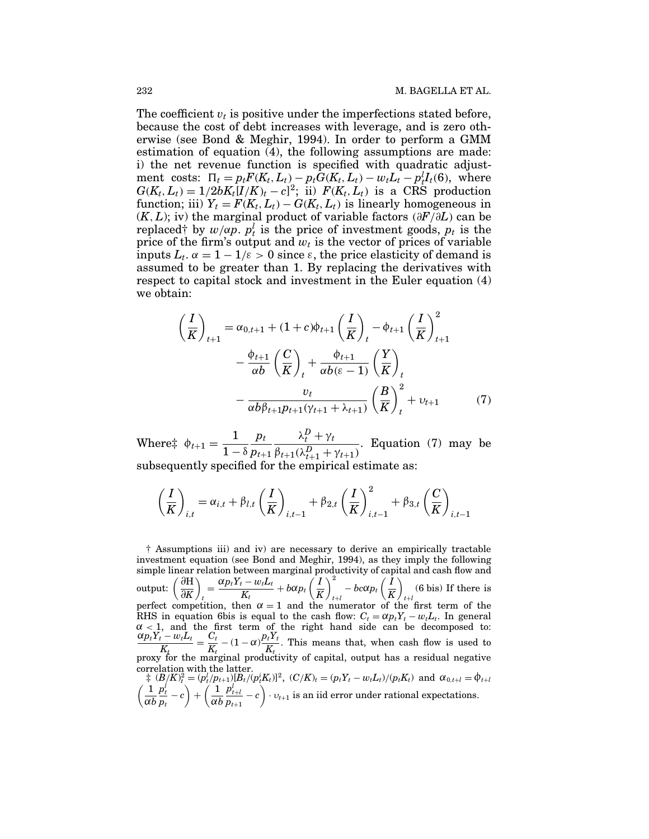The coefficient  $v_t$  is positive under the imperfections stated before, because the cost of debt increases with leverage, and is zero otherwise (see [Bond & Meghir, 1994\)](#page-24-0). In order to perform a GMM estimation of equation (4), the following assumptions are made: i) the net revenue function is specified with quadratic adjustment costs:  $\Pi_t = p_t F(K_t, L_t) - p_t G(K_t, L_t) - w_t L_t - p_t^l I_t(6)$ , where  $G(K_t, L_t) = 1/2bK_t[I/K)_t - c]^2$ ; ii)  $F(K_t, L_t)$  is a CRS production function; iii)  $Y_t = F(K_t, L_t) - G(K_t, L_t)$  is linearly homogeneous in  $(K, L)$ ; iv) the marginal product of variable factors  $(\partial F/\partial L)$  can be replaced† by  $w/\alpha p$ .  $p_t^l$  is the price of investment goods,  $p_t$  is the price of the firm's output and  $w_t$  is the vector of prices of variable inputs  $L_t$ .  $\alpha = 1 - 1/\varepsilon > 0$  since  $\varepsilon$ , the price elasticity of demand is assumed to be greater than 1. By replacing the derivatives with respect to capital stock and investment in the Euler equation (4) we obtain:

$$
\left(\frac{I}{K}\right)_{t+1} = \alpha_{0,t+1} + (1+c)\phi_{t+1} \left(\frac{I}{K}\right)_{t} - \phi_{t+1} \left(\frac{I}{K}\right)_{t+1}^{2}
$$

$$
- \frac{\phi_{t+1}}{\alpha b} \left(\frac{C}{K}\right)_{t} + \frac{\phi_{t+1}}{\alpha b(\epsilon - 1)} \left(\frac{Y}{K}\right)_{t}
$$

$$
- \frac{\upsilon_{t}}{\alpha b \beta_{t+1} p_{t+1} (\gamma_{t+1} + \lambda_{t+1})} \left(\frac{B}{K}\right)_{t}^{2} + \upsilon_{t+1} \tag{7}
$$

Where $\ddagger \phi_{t+1} = \frac{1}{1-\delta}$ *pt*  $p_{t+1}$  $\lambda_t^D + \gamma_t$  $\beta_{t+1}(\lambda_{t+1}^D + \gamma_{t+1})$ . Equation (7) may be subsequently specified for the empirical estimate as:

$$
\left(\frac{I}{K}\right)_{i,t} = \alpha_{i,t} + \beta_{l,t} \left(\frac{I}{K}\right)_{i,t-1} + \beta_{2,t} \left(\frac{I}{K}\right)_{i,t-1}^{2} + \beta_{3,t} \left(\frac{C}{K}\right)_{i,t-1}
$$

† Assumptions iii) and iv) are necessary to derive an empirically tractable investment equation (see [Bond and Meghir, 1994\)](#page-24-0), as they imply the following simple linear relation between marginal productivity of capital and cash flow and output:  $\left(\frac{\partial H}{\partial K}\right)$  $\overline{ }$ *t*  $=\frac{\alpha p_t Y_t - w_t L_t}{K_t} + b \alpha p_t \left(\frac{I}{K_t}\right)$ *K*  $\setminus^2$  $\int_{t+l}^2 -bc\alpha p_t\left(\frac{I}{K}\right)$ *K*  $\overline{ }$  $t+l$ (6 bis) If there is perfect competition, then  $\alpha = 1$  and the numerator of the first term of the RHS in equation 6bis is equal to the cash flow:  $C_t = \alpha p_t Y_t - w_t L_t$ . In general  $\alpha$  < 1, and the first term of the right hand side can be decomposed to:  $\alpha p_t Y_t - w_t L_t$  $\frac{d_H - w_t L_t}{K_t} = \frac{C_t}{K_t} - (1 - \alpha) \frac{p_t Y_t}{K_t}$  $\frac{k+1}{K_t}$ . This means that, when cash flow is used to proxy for the marginal productivity of capital, output has a residual negative correlation with the latter.  $\begin{array}{c} \n \ddot{x} \ (B/K)^2_t = (p_t^l / p_{t+1}) [B_t / (p_t^i K_t)]^2 \ \n \begin{array}{c} \n 1 \ n^l \end{array} \n \end{array}$ ,  $(C/K)_t = (p_tY_t - w_tL_t)/(p_tK_t)$  and  $\alpha_{0,t+l} = \phi_{t+l}$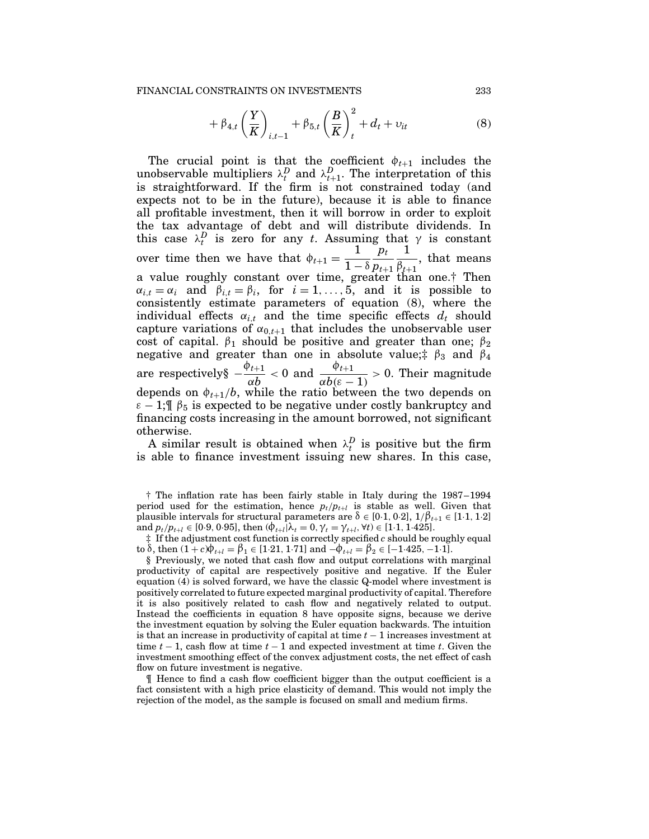FINANCIAL CONSTRAINTS ON INVESTMENTS 233

$$
+\beta_{4,t}\left(\frac{Y}{K}\right)_{i,t-1} + \beta_{5,t}\left(\frac{B}{K}\right)_t^2 + d_t + v_{it}
$$
\n(8)

The crucial point is that the coefficient  $\phi_{t+1}$  includes the unobservable multipliers  $\lambda_t^D$  and  $\lambda_{t+1}^D$ . The interpretation of this is straightforward. If the firm is not constrained today (and expects not to be in the future), because it is able to finance all profitable investment, then it will borrow in order to exploit the tax advantage of debt and will distribute dividends. In this case  $\lambda_t^D$  is zero for any *t*. Assuming that  $\gamma$  is constant over time then we have that  $\phi_{t+1} = \frac{1}{1-\delta}$ *pt*  $p_{t+1}$ 1  $\frac{1}{\beta_{t+1}}$ , that means a value roughly constant over time, greater than one.† Then  $\alpha_{i,t} = \alpha_i$  and  $\beta_{i,t} = \beta_i$ , for  $i = 1, \ldots, 5$ , and it is possible to consistently estimate parameters of equation (8), where the individual effects  $\alpha_{i,t}$  and the time specific effects  $d_t$  should capture variations of  $\alpha_{0,t+1}$  that includes the unobservable user cost of capital.  $\beta_1$  should be positive and greater than one;  $\beta_2$ negative and greater than one in absolute value; $\sharp$   $\beta_3$  and  $\beta_4$ are respectively§  $-\frac{\phi_{t+1}}{\alpha b} < 0$  and  $\frac{\phi_{t+1}}{\alpha b(\epsilon-1)} > 0$ . Their magnitude depends on  $\phi_{t+1}/b$ , while the ratio between the two depends on  $\varepsilon - 1$ ;  $\beta$   $\beta$  is expected to be negative under costly bankruptcy and financing costs increasing in the amount borrowed, not significant otherwise.

A similar result is obtained when  $\lambda_t^D$  is positive but the firm is able to finance investment issuing new shares. In this case,

† The inflation rate has been fairly stable in Italy during the 1987–1994 period used for the estimation, hence  $p_t/p_{t+l}$  is stable as well. Given that plausible intervals for structural parameters are  $\delta \in [0.1, 0.2]$ ,  $1/\beta_{t+1} \in [1.1, 1.2]$ and  $p_t/p_{t+l} \in [0.9, 0.95]$ , then  $(\phi_{t+l} | \lambda_t = 0, \gamma_t = \gamma_{t+l}, \forall t) \in [1.1, 1.425]$ .

‡ If the adjustment cost function is correctly specified *c* should be roughly equal to  $\delta$ , then  $(1 + c)\phi_{t+l} = \beta_1 \in [1\cdot 21, 1\cdot 71]$  and  $-\phi_{t+l} = \beta_2 \in [-1\cdot 425, -1\cdot 1]$ .

§ Previously, we noted that cash flow and output correlations with marginal productivity of capital are respectively positive and negative. If the Euler equation (4) is solved forward, we have the classic Q-model where investment is positively correlated to future expected marginal productivity of capital. Therefore it is also positively related to cash flow and negatively related to output. Instead the coefficients in equation 8 have opposite signs, because we derive the investment equation by solving the Euler equation backwards. The intuition is that an increase in productivity of capital at time  $t-1$  increases investment at time  $t-1$ , cash flow at time  $t-1$  and expected investment at time  $t$ . Given the investment smoothing effect of the convex adjustment costs, the net effect of cash flow on future investment is negative.

¶ Hence to find a cash flow coefficient bigger than the output coefficient is a fact consistent with a high price elasticity of demand. This would not imply the rejection of the model, as the sample is focused on small and medium firms.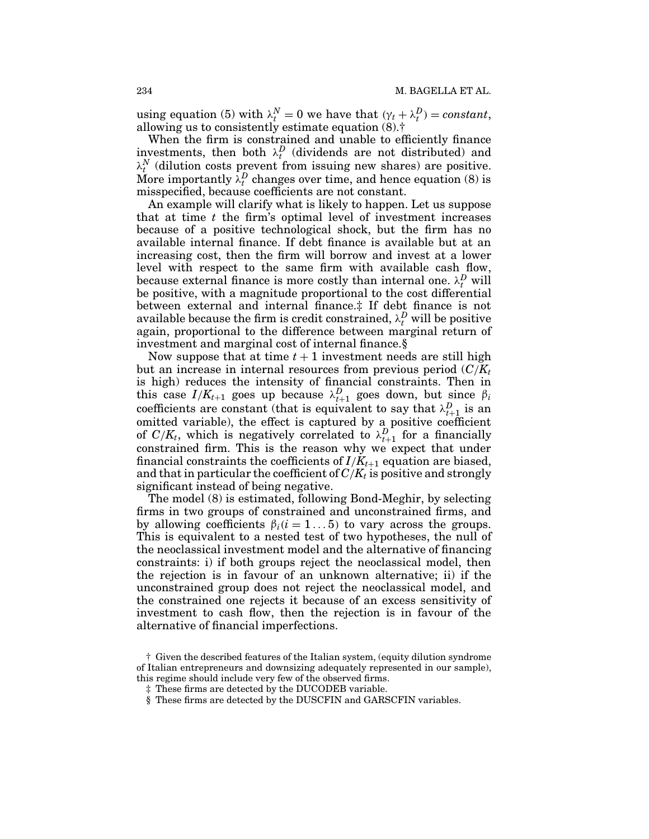using equation (5) with  $\lambda_t^N = 0$  we have that  $(\gamma_t + \lambda_t^D) = constant$ , allowing us to consistently estimate equation (8).†

When the firm is constrained and unable to efficiently finance investments, then both  $\lambda_t^D$  (dividends are not distributed) and  $\lambda_t^N$  (dilution costs prevent from issuing new shares) are positive. More importantly  $\lambda_t^D$  changes over time, and hence equation (8) is misspecified, because coefficients are not constant.

An example will clarify what is likely to happen. Let us suppose that at time *t* the firm's optimal level of investment increases because of a positive technological shock, but the firm has no available internal finance. If debt finance is available but at an increasing cost, then the firm will borrow and invest at a lower level with respect to the same firm with available cash flow, because external finance is more costly than internal one.  $\lambda_t^D$  will be positive, with a magnitude proportional to the cost differential between external and internal finance.‡ If debt finance is not available because the firm is credit constrained,  $\lambda_t^D$  will be positive again, proportional to the difference between marginal return of investment and marginal cost of internal finance.§

Now suppose that at time  $t+1$  investment needs are still high but an increase in internal resources from previous period  $(C/K_t)$ is high) reduces the intensity of financial constraints. Then in this case  $I/K_{t+1}$  goes up because  $\lambda_{t+1}^D$  goes down, but since  $\beta_i$ coefficients are constant (that is equivalent to say that  $\lambda_{t+1}^D$  is an omitted variable), the effect is captured by a positive coefficient of  $C/K_t$ , which is negatively correlated to  $\lambda_{t+1}^D$  for a financially constrained firm. This is the reason why we expect that under financial constraints the coefficients of  $I/K_{t+1}$  equation are biased, and that in particular the coefficient of  $C/K_t$  is positive and strongly significant instead of being negative.

The model (8) is estimated, following Bond-Meghir, by selecting firms in two groups of constrained and unconstrained firms, and by allowing coefficients  $\beta_i$  (*i* = 1... 5) to vary across the groups. This is equivalent to a nested test of two hypotheses, the null of the neoclassical investment model and the alternative of financing constraints: i) if both groups reject the neoclassical model, then the rejection is in favour of an unknown alternative; ii) if the unconstrained group does not reject the neoclassical model, and the constrained one rejects it because of an excess sensitivity of investment to cash flow, then the rejection is in favour of the alternative of financial imperfections.

<sup>†</sup> Given the described features of the Italian system, (equity dilution syndrome of Italian entrepreneurs and downsizing adequately represented in our sample), this regime should include very few of the observed firms.

<sup>‡</sup> These firms are detected by the DUCODEB variable.

<sup>§</sup> These firms are detected by the DUSCFIN and GARSCFIN variables.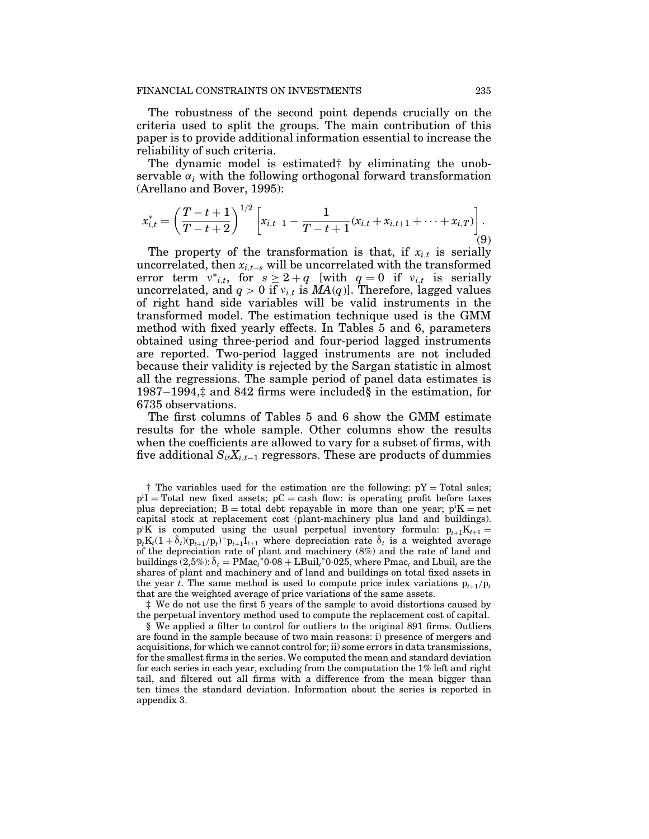The robustness of the second point depends crucially on the criteria used to split the groups. The main contribution of this paper is to provide additional information essential to increase the reliability of such criteria.

The dynamic model is estimated† by eliminating the unobservable  $\alpha_i$  with the following orthogonal forward transformation [\(Arellano and Bover, 1995\)](#page-24-0):

$$
x_{i,t}^* = \left(\frac{T-t+1}{T-t+2}\right)^{1/2} \left[x_{i,t-1} - \frac{1}{T-t+1}(x_{i,t} + x_{i,t+1} + \cdots + x_{i,T})\right].
$$
\n(9)

The property of the transformation is that, if  $x_{i,t}$  is serially uncorrelated, then  $x_{i,t-s}$  will be uncorrelated with the transformed error term  $v^*_{i,t}$ , for  $s \geq 2 + q$  [with  $q = 0$  if  $v_{i,t}$  is serially uncorrelated, and  $q > 0$  if  $v_{i,t}$  is  $MA(q)$ . Therefore, lagged values of right hand side variables will be valid instruments in the transformed model. The estimation technique used is the GMM method with fixed yearly effects. In [Tables 5](#page-17-0) and [6,](#page-19-0) parameters obtained using three-period and four-period lagged instruments are reported. Two-period lagged instruments are not included because their validity is rejected by the Sargan statistic in almost all the regressions. The sample period of panel data estimates is 1987–1994,‡ and 842 firms were included§ in the estimation, for 6735 observations.

The first columns of [Tables 5](#page-17-0) and [6](#page-19-0) show the GMM estimate results for the whole sample. Other columns show the results when the coefficients are allowed to vary for a subset of firms, with five additional  $S_{it}X_{i,t-1}$  regressors. These are products of dummies

‡ We do not use the first 5 years of the sample to avoid distortions caused by the perpetual inventory method used to compute the replacement cost of capital.

§ We applied a filter to control for outliers to the original 891 firms. Outliers are found in the sample because of two main reasons: i) presence of mergers and acquisitions, for which we cannot control for; ii) some errors in data transmissions, for the smallest firms in the series. We computed the mean and standard deviation for each series in each year, excluding from the computation the 1% left and right tail, and filtered out all firms with a difference from the mean bigger than ten times the standard deviation. Information about the series is reported in appendix 3.

 $\dagger$  The variables used for the estimation are the following:  $pY = Total$  sales;  $p<sup>i</sup>I$  = Total new fixed assets;  $pC =$  cash flow: is operating profit before taxes plus depreciation;  $B =$  total debt repayable in more than one year;  $p^iK =$  net capital stock at replacement cost (plant-machinery plus land and buildings).  $p$ <sup>t</sup>K is computed using the usual perpetual inventory formula:  $p_{t+1}K_{t+1} =$  $\bar{p}_t K_t(1+\delta_t)(\bar{p}_{t+1}/p_t)^+ p_{t+1}I_{t+1}$  where depreciation rate  $\delta_t$  is a weighted average of the depreciation rate of plant and machinery (8%) and the rate of land and buildings  $(2.5\%)$ :  $\delta_t = \text{PMac}_t^* 0.08 + \text{LBuil}_t^* 0.025$ , where  $\text{Pmac}_t$  and  $\text{Lbul}_t$  are the shares of plant and machinery and of land and buildings on total fixed assets in the year *t*. The same method is used to compute price index variations  $p_{t+1}/p_t$ that are the weighted average of price variations of the same assets.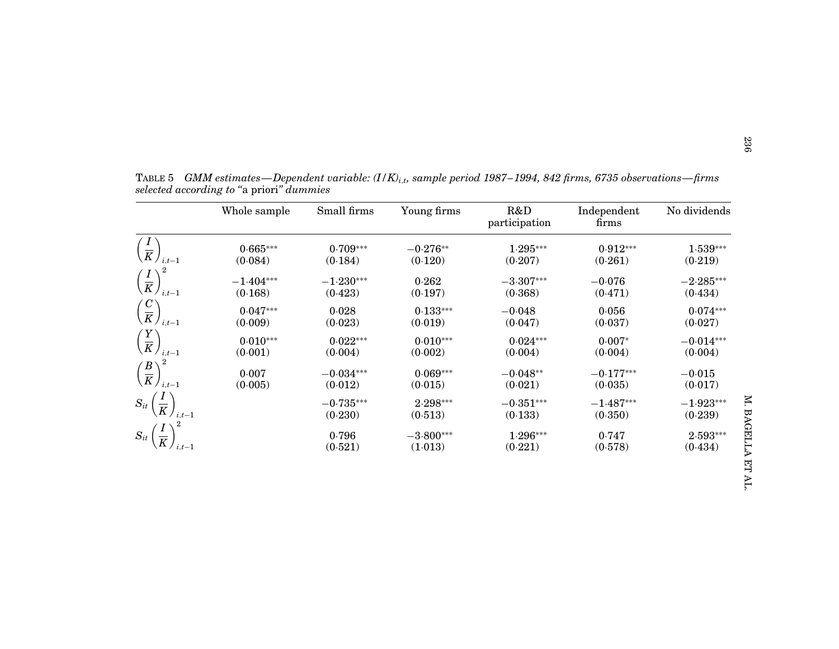|                                       | Whole sample | Small firms            | Young firms           | R&D<br>participation   | Independent<br>firms   | No dividends           |
|---------------------------------------|--------------|------------------------|-----------------------|------------------------|------------------------|------------------------|
| $\left(\frac{I}{K}\right)$            | $0.665***$   | $0.709***$             | $-0.276**$            | $1.295***$             | $0.912***$             | $1.539***$             |
| $\sum_{i,t-1}$                        | (0.084)      | (0.184)                | (0.120)               | (0.207)                | (0.261)                | (0.219)                |
| $\left(\frac{I}{K}\right)$            | $-1.404***$  | $-1.230***$            | 0.262                 | $-3.307***$            | $-0.076$               | $-2.285***$            |
| $i,t-1$                               | (0.168)      | (0.423)                | (0.197)               | (0.368)                | (0.471)                | (0.434)                |
| $\frac{C}{K}$                         | $0.047***$   | 0.028                  | $0.133***$            | $-0.048$               | 0.056                  | $0.074***$             |
| $\frac{1}{i}$ i.t-1                   | (0.009)      | (0.023)                | (0.019)               | (0.047)                | (0.037)                | (0.027)                |
| $\left(\frac{Y}{K}\right)$            | $0.010***$   | $0.022***$             | $0.010***$            | $0.024***$             | $0.007*$               | $-0.014***$            |
|                                       | (0.001)      | (0.004)                | (0.002)               | (0.004)                | (0.004)                | (0.004)                |
| $\left(\frac{B}{K}\right)$            | 0.007        | $-0.034***$            | $0.069***$            | $-0.048**$             | $-0.177***$            | $-0.015$               |
|                                       | (0.005)      | (0.012)                | (0.015)               | (0.021)                | (0.035)                | (0.017)                |
| $S_{it}$<br>$\overline{K}$<br>$i,t-1$ |              | $-0.735***$<br>(0.230) | $2.298***$<br>(0.513) | $-0.351***$<br>(0.133) | $-1.487***$<br>(0.350) | $-1.923***$<br>(0.239) |
| $S_{it}$                              |              | 0.796                  | $-3.800***$           | $1.296***$             | 0.747                  | $2.593***$             |
| $i.t-1$                               |              | (0.521)                | (1.013)               | (0.221)                | (0.578)                | (0.434)                |

<span id="page-17-0"></span>TABLE 5 *GMM estimates—Dependent variable: (I/K)i*,*t, sample period 1987–1994, 842 firms, 6735 observations—firms selected according to ''*a priori*'' dummies*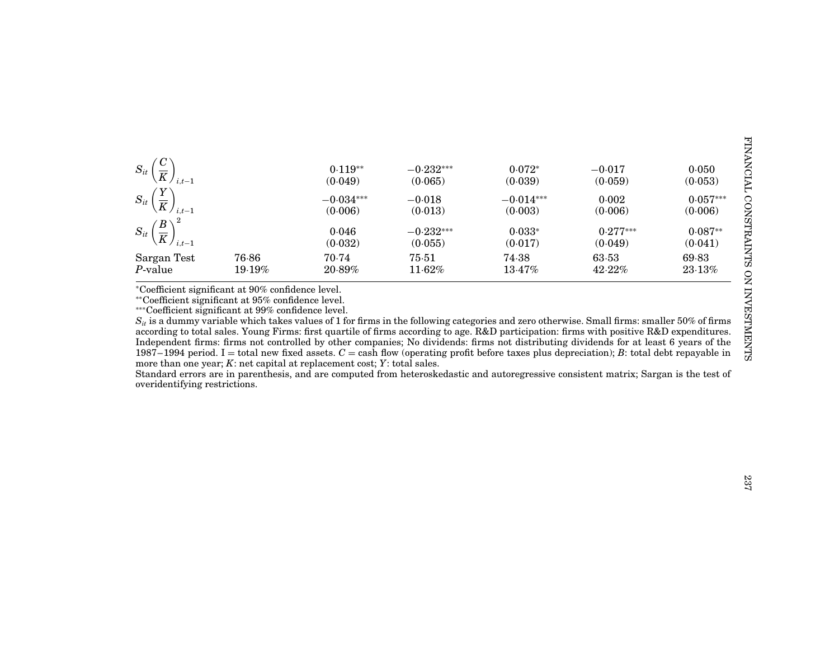| $S_{it}$<br>$\overline{K}$<br>$\left\langle i,t-1\right\rangle$ |                    | $0.119**$<br>(0.049)   | $-0.232***$<br>(0.065) | $0.072*$<br>(0.039)    | $-0.017$<br>(0.059)   | 0.050<br>(0.053)      |
|-----------------------------------------------------------------|--------------------|------------------------|------------------------|------------------------|-----------------------|-----------------------|
| $S_{it}$<br>$\overline{K}$<br>$\ell$ i,t-1                      |                    | $-0.034***$<br>(0.006) | $-0.018$<br>(0.013)    | $-0.014***$<br>(0.003) | 0.002<br>(0.006)      | $0.057***$<br>(0.006) |
| $B^{\setminus}$<br>$S_{it}$<br>$\overline{K}$<br>$\ell$ i,t-1   |                    | 0.046<br>(0.032)       | $-0.232***$<br>(0.055) | $0.033*$<br>(0.017)    | $0.277***$<br>(0.049) | $0.087**$<br>(0.041)  |
| Sargan Test<br>P-value                                          | 76.86<br>$19.19\%$ | 70.74<br>20.89%        | 75.51<br>$11.62\%$     | 74.38<br>$13.47\%$     | 63.53<br>42.22%       | 69.83<br>$23.13\%$    |

<sup>Ł</sup>Coefficient significant at 90% confidence level.

\*\*Coefficient significant at 95% confidence level.

\*\*\*Coefficient significant at 99% confidence level.

 $S_{it}$  is a dummy variable which takes values of 1 for firms in the following categories and zero otherwise. Small firms: smaller 50% of firms according to total sales. Young Firms: first quartile of firms according to age. R&D participation: firms with positive R&D expenditures. Independent firms: firms not controlled by other companies; No dividends: firms not distributing dividends for at least 6 years of the 1987–1994 period. I = total new fixed assets. *C* = cash flow (operating profit before taxes plus depreciation); *B*: total debt repayable in more than one year; *K*: net capital at replacement cost; *Y*: total sales.

Standard errors are in parenthesis, and are computed from heteroskedastic and autoregressive consistent matrix; Sargan is the test of overidentifying restrictions.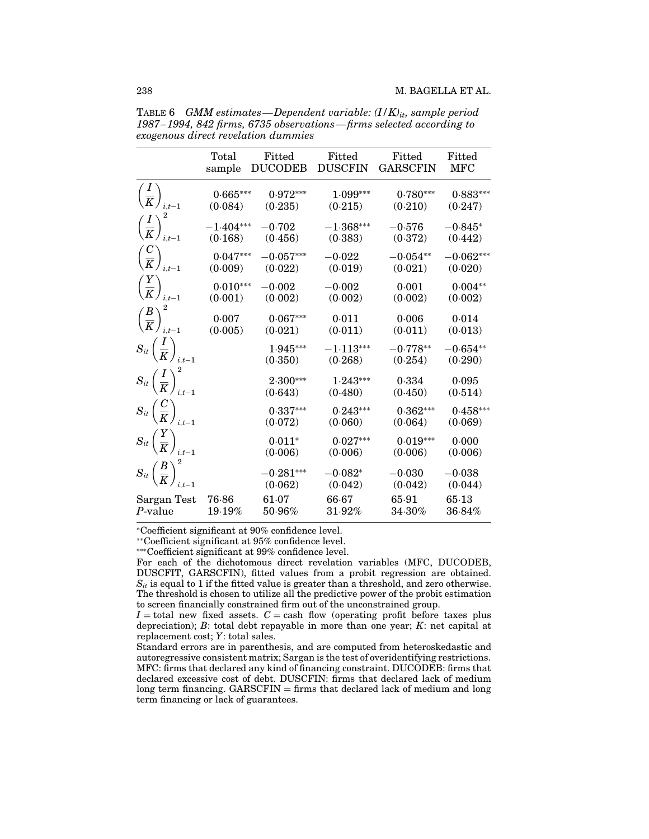|                                                            | Total       | Fitted                 | Fitted                 | Fitted                | Fitted                |
|------------------------------------------------------------|-------------|------------------------|------------------------|-----------------------|-----------------------|
|                                                            | sample      | <b>DUCODEB</b>         | <b>DUSCFIN</b>         | GARSCFIN              | <b>MFC</b>            |
|                                                            | $0.665***$  | $0.972***$             | $1.099***$             | $0.780***$            | $0.883***$            |
|                                                            | (0.084)     | (0.235)                | (0.215)                | (0.210)               | (0.247)               |
| $\left(\frac{l}{K}\right)$                                 | $-1.404***$ | $-0.702$               | $-1.368***$            | $-0.576$              | $-0.845*$             |
|                                                            | (0.168)     | (0.456)                | (0.383)                | (0.372)               | (0.442)               |
| $\left(\frac{C}{K}\right)_{i,t-1}$                         | $0.047***$  | $-0.057***$            | $-0.022$               | $-0.054**$            | $-0.062***$           |
|                                                            | (0.009)     | (0.022)                | (0.019)                | (0.021)               | (0.020)               |
| $\left(\frac{Y}{K}\right)_{\genfrac{}{}{0pt}{}{i,t-1}{2}}$ | $0.010***$  | $-0.002$               | $-0.002$               | 0.001                 | $0.004**$             |
|                                                            | (0.001)     | (0.002)                | (0.002)                | (0.002)               | (0.002)               |
| $\left(\frac{B}{K}\right)_{i,t-1}^2$                       | 0.007       | $0.067***$             | 0.011                  | 0.006                 | 0.014                 |
|                                                            | (0.005)     | (0.021)                | (0.011)                | (0.011)               | (0.013)               |
| $S_{it}\left(\frac{I}{K}\right)$                           |             | $1.945***$<br>(0.350)  | $-1.113***$<br>(0.268) | $-0.778**$<br>(0.254) | $-0.654**$<br>(0.290) |
| $S_{it} \left(\frac{I}{K}\right)_{i,t-1}^{\circ}$          |             | $2.300***$<br>(0.643)  | $1.243***$<br>(0.480)  | 0.334<br>(0.450)      | 0.095<br>(0.514)      |
| $\left(\frac{C}{K}\right)_{i,t-1}$                         |             | $0.337***$             | $0.243***$             | $0.362***$            | $0.458***$            |
| $S_{it}$ (                                                 |             | (0.072)                | (0.060)                | (0.064)               | (0.069)               |
| $\left(\frac{Y}{K}\right)_{i,t-1}$                         |             | $0.011*$               | $0.027***$             | $0.019***$            | 0.000                 |
| $S_{it}$                                                   |             | (0.006)                | (0.006)                | (0.006)               | (0.006)               |
| $S_{it} \left(\frac{B}{K}\right)^{-}_{i}$                  |             | $-0.281***$<br>(0.062) | $-0.082*$<br>(0.042)   | $-0.030$<br>(0.042)   | $-0.038$<br>(0.044)   |
| Sargan Test                                                | 76.86       | 61.07                  | 66.67                  | 65.91                 | 65.13                 |
| $P$ -value                                                 | 19.19%      | 50.96%                 | $31.92\%$              | 34.30%                | 36.84%                |

<span id="page-19-0"></span>TABLE 6 *GMM estimates—Dependent variable: (I/K)it, sample period 1987–1994, 842 firms, 6735 observations—firms selected according to exogenous direct revelation dummies*

<sup>Ł</sup>Coefficient significant at 90% confidence level.

 $*$ <sup>c</sup>Oefficient significant at  $95%$  confidence level.

\*\*\*Coefficient significant at 99% confidence level.

For each of the dichotomous direct revelation variables (MFC, DUCODEB, DUSCFIT, GARSCFIN), fitted values from a probit regression are obtained.  $S_{it}$  is equal to 1 if the fitted value is greater than a threshold, and zero otherwise. The threshold is chosen to utilize all the predictive power of the probit estimation to screen financially constrained firm out of the unconstrained group.

 $I =$  total new fixed assets.  $C =$  cash flow (operating profit before taxes plus depreciation); *B*: total debt repayable in more than one year; *K*: net capital at replacement cost; *Y*: total sales.

Standard errors are in parenthesis, and are computed from heteroskedastic and autoregressive consistent matrix; Sargan is the test of overidentifying restrictions. MFC: firms that declared any kind of financing constraint. DUCODEB: firms that declared excessive cost of debt. DUSCFIN: firms that declared lack of medium long term financing.  $GARSCFIN = firms$  that declared lack of medium and long term financing or lack of guarantees.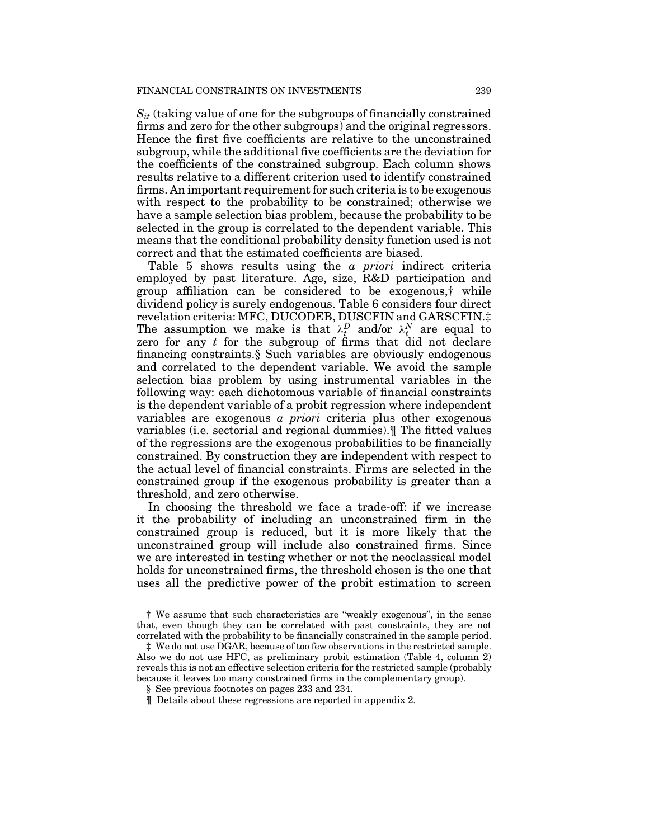*Sit* (taking value of one for the subgroups of financially constrained firms and zero for the other subgroups) and the original regressors. Hence the first five coefficients are relative to the unconstrained subgroup, while the additional five coefficients are the deviation for the coefficients of the constrained subgroup. Each column shows results relative to a different criterion used to identify constrained firms. An important requirement for such criteria is to be exogenous with respect to the probability to be constrained; otherwise we have a sample selection bias problem, because the probability to be selected in the group is correlated to the dependent variable. This means that the conditional probability density function used is not correct and that the estimated coefficients are biased.

[Table 5](#page-17-0) shows results using the *a priori* indirect criteria employed by past literature. Age, size, R&D participation and group affiliation can be considered to be exogenous,† while dividend policy is surely endogenous. [Table 6](#page-19-0) considers four direct revelation criteria: MFC, DUCODEB, DUSCFIN and GARSCFIN.‡ The assumption we make is that  $\lambda_t^D$  and/or  $\lambda_t^N$  are equal to zero for any *t* for the subgroup of firms that did not declare financing constraints.§ Such variables are obviously endogenous and correlated to the dependent variable. We avoid the sample selection bias problem by using instrumental variables in the following way: each dichotomous variable of financial constraints is the dependent variable of a probit regression where independent variables are exogenous *a priori* criteria plus other exogenous variables (i.e. sectorial and regional dummies).¶ The fitted values of the regressions are the exogenous probabilities to be financially constrained. By construction they are independent with respect to the actual level of financial constraints. Firms are selected in the constrained group if the exogenous probability is greater than a threshold, and zero otherwise.

In choosing the threshold we face a trade-off: if we increase it the probability of including an unconstrained firm in the constrained group is reduced, but it is more likely that the unconstrained group will include also constrained firms. Since we are interested in testing whether or not the neoclassical model holds for unconstrained firms, the threshold chosen is the one that uses all the predictive power of the probit estimation to screen

† We assume that such characteristics are ''weakly exogenous'', in the sense that, even though they can be correlated with past constraints, they are not correlated with the probability to be financially constrained in the sample period.

‡ We do not use DGAR, because of too few observations in the restricted sample. Also we do not use HFC, as preliminary probit estimation [\(Table 4](#page-10-0), column 2) reveals this is not an effective selection criteria for the restricted sample (probably because it leaves too many constrained firms in the complementary group).

<sup>§</sup> See previous footnotes on pages 233 and 234.

<sup>¶</sup> Details about these regressions are reported in appendix 2.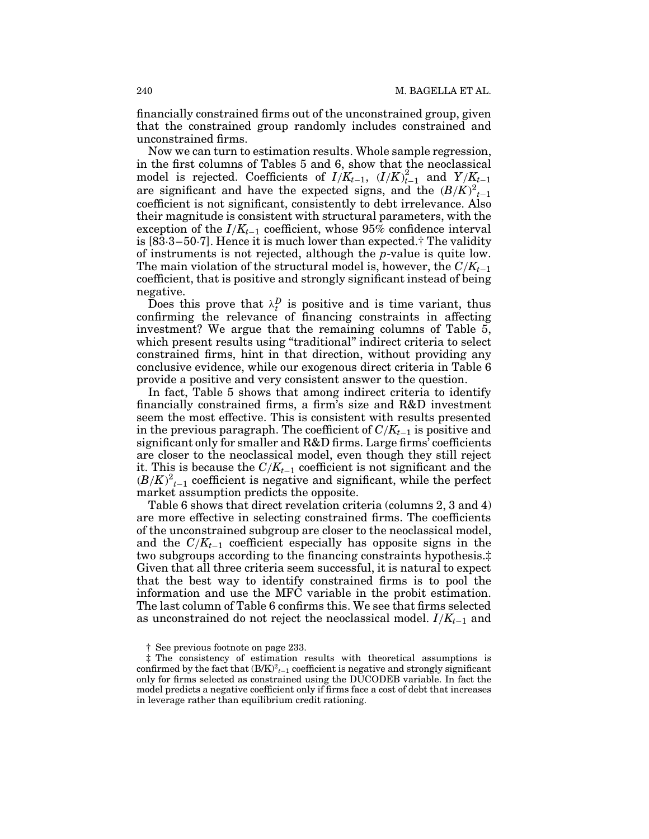financially constrained firms out of the unconstrained group, given that the constrained group randomly includes constrained and unconstrained firms.

Now we can turn to estimation results. Whole sample regression, in the first columns of [Tables 5 a](#page-17-0)n[d 6,](#page-19-0) show that the neoclassical model is rejected. Coefficients of  $I/K_{t-1}$ ,  $(I/K)_{t-1}^2$  and  $Y/K_{t-1}$ are significant and have the expected signs, and the  $(B/K)^2_{t-1}$ coefficient is not significant, consistently to debt irrelevance. Also their magnitude is consistent with structural parameters, with the exception of the  $I/K_{t-1}$  coefficient, whose 95% confidence interval is  $[83.3-50.7]$ . Hence it is much lower than expected.† The validity of instruments is not rejected, although the *p*-value is quite low. The main violation of the structural model is, however, the  $C/K_{t-1}$ coefficient, that is positive and strongly significant instead of being negative.

Does this prove that  $\lambda_t^D$  is positive and is time variant, thus confirming the relevance of financing constraints in affecting investment? We argue that the remaining columns of [Table 5,](#page-17-0) which present results using "traditional" indirect criteria to select constrained firms, hint in that direction, without providing any conclusive evidence, while our exogenous direct criteria in [Table 6](#page-19-0) provide a positive and very consistent answer to the question.

In fact, [Table 5](#page-17-0) shows that among indirect criteria to identify financially constrained firms, a firm's size and R&D investment seem the most effective. This is consistent with results presented in the previous paragraph. The coefficient of  $C/K_{t-1}$  is positive and significant only for smaller and R&D firms. Large firms' coefficients are closer to the neoclassical model, even though they still reject it. This is because the  $C/K_{t-1}$  coefficient is not significant and the  $(B/K)^2_{t-1}$  coefficient is negative and significant, while the perfect market assumption predicts the opposite.

[Table 6](#page-19-0) shows that direct revelation criteria (columns 2, 3 and 4) are more effective in selecting constrained firms. The coefficients of the unconstrained subgroup are closer to the neoclassical model, and the  $C/K_{t-1}$  coefficient especially has opposite signs in the two subgroups according to the financing constraints hypothesis.‡ Given that all three criteria seem successful, it is natural to expect that the best way to identify constrained firms is to pool the information and use the MFC variable in the probit estimation. The last column of [Table 6](#page-19-0) confirms this. We see that firms selected as unconstrained do not reject the neoclassical model.  $I/K_{t-1}$  and

<sup>†</sup> See previous footnote on page 233.

<sup>‡</sup> The consistency of estimation results with theoretical assumptions is confirmed by the fact that  $(B/K)^2$ <sub>t-1</sub> coefficient is negative and strongly significant only for firms selected as constrained using the DUCODEB variable. In fact the model predicts a negative coefficient only if firms face a cost of debt that increases in leverage rather than equilibrium credit rationing.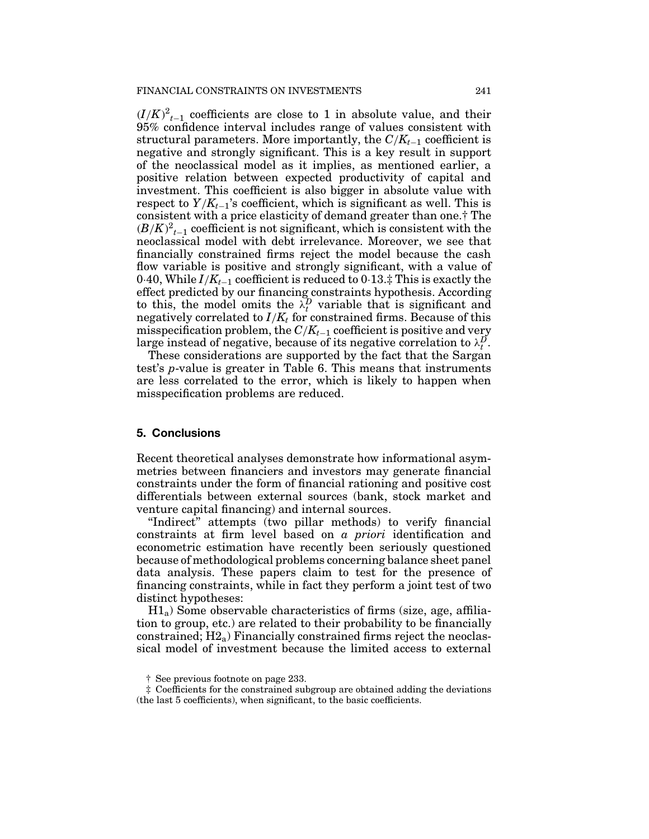$(I/K)^2_{t-1}$  coefficients are close to 1 in absolute value, and their 95% confidence interval includes range of values consistent with structural parameters. More importantly, the  $C/K_{t-1}$  coefficient is negative and strongly significant. This is a key result in support of the neoclassical model as it implies, as mentioned earlier, a positive relation between expected productivity of capital and investment. This coefficient is also bigger in absolute value with respect to  $Y/K_{t-1}$ 's coefficient, which is significant as well. This is consistent with a price elasticity of demand greater than one.† The  $(B/K)^2_{t-1}$  coefficient is not significant, which is consistent with the neoclassical model with debt irrelevance. Moreover, we see that financially constrained firms reject the model because the cash flow variable is positive and strongly significant, with a value of 0.40, While  $I/K_{t-1}$  coefficient is reduced to 0.13. $\ddagger$  This is exactly the effect predicted by our financing constraints hypothesis. According to this, the model omits the  $\lambda_t^D$  variable that is significant and negatively correlated to  $I/K_t$  for constrained firms. Because of this misspecification problem, the  $C/K_{t-1}$  coefficient is positive and very large instead of negative, because of its negative correlation to  $\lambda_t^D$ .

These considerations are supported by the fact that the Sargan test's *p*-value is greater in [Table 6.](#page-19-0) This means that instruments are less correlated to the error, which is likely to happen when misspecification problems are reduced.

#### **5. Conclusions**

Recent theoretical analyses demonstrate how informational asymmetries between financiers and investors may generate financial constraints under the form of financial rationing and positive cost differentials between external sources (bank, stock market and venture capital financing) and internal sources.

''Indirect'' attempts (two pillar methods) to verify financial constraints at firm level based on *a priori* identification and econometric estimation have recently been seriously questioned because of methodological problems concerning balance sheet panel data analysis. These papers claim to test for the presence of financing constraints, while in fact they perform a joint test of two distinct hypotheses:

 $H1_a$ ) Some observable characteristics of firms (size, age, affiliation to group, etc.) are related to their probability to be financially constrained;  $H2_a$ ) Financially constrained firms reject the neoclassical model of investment because the limited access to external

<sup>†</sup> See previous footnote on page 233.

<sup>‡</sup> Coefficients for the constrained subgroup are obtained adding the deviations (the last 5 coefficients), when significant, to the basic coefficients.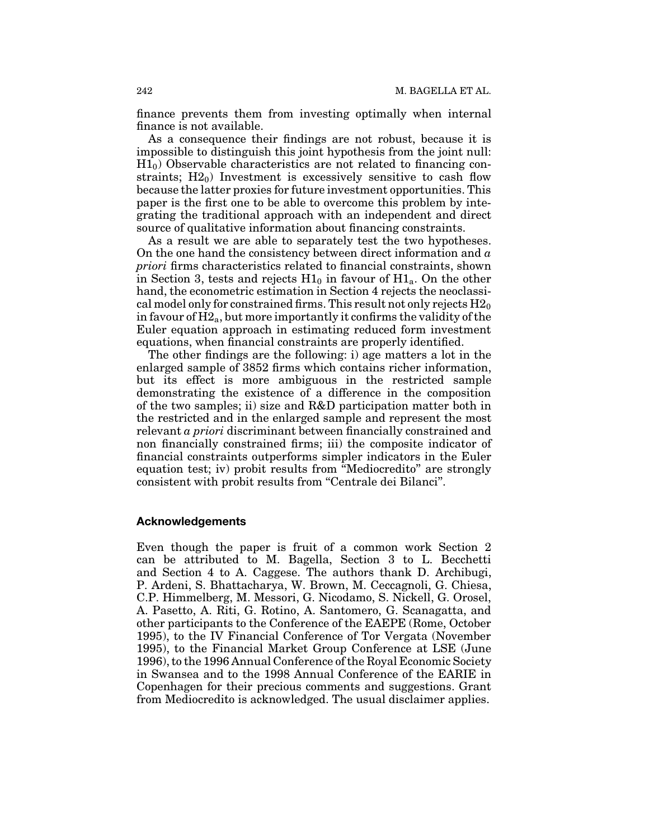finance prevents them from investing optimally when internal finance is not available.

As a consequence their findings are not robust, because it is impossible to distinguish this joint hypothesis from the joint null:  $H1<sub>0</sub>$ ) Observable characteristics are not related to financing constraints;  $H2_0$ ) Investment is excessively sensitive to cash flow because the latter proxies for future investment opportunities. This paper is the first one to be able to overcome this problem by integrating the traditional approach with an independent and direct source of qualitative information about financing constraints.

As a result we are able to separately test the two hypotheses. On the one hand the consistency between direct information and *a priori* firms characteristics related to financial constraints, shown in Section 3, tests and rejects  $H1_0$  in favour of  $H1_a$ . On the other hand, the econometric estimation in Section 4 rejects the neoclassical model only for constrained firms. This result not only rejects  $H_0^0$ in favour of  $H2_a$ , but more importantly it confirms the validity of the Euler equation approach in estimating reduced form investment equations, when financial constraints are properly identified.

The other findings are the following: i) age matters a lot in the enlarged sample of 3852 firms which contains richer information, but its effect is more ambiguous in the restricted sample demonstrating the existence of a difference in the composition of the two samples; ii) size and R&D participation matter both in the restricted and in the enlarged sample and represent the most relevant *a priori* discriminant between financially constrained and non financially constrained firms; iii) the composite indicator of financial constraints outperforms simpler indicators in the Euler equation test; iv) probit results from ''Mediocredito'' are strongly consistent with probit results from "Centrale dei Bilanci".

#### **Acknowledgements**

Even though the paper is fruit of a common work Section 2 can be attributed to M. Bagella, Section 3 to L. Becchetti and Section 4 to A. Caggese. The authors thank D. Archibugi, P. Ardeni, S. Bhattacharya, W. Brown, M. Ceccagnoli, G. Chiesa, C.P. Himmelberg, M. Messori, G. Nicodamo, S. Nickell, G. Orosel, A. Pasetto, A. Riti, G. Rotino, A. Santomero, G. Scanagatta, and other participants to the Conference of the EAEPE (Rome, October 1995), to the IV Financial Conference of Tor Vergata (November 1995), to the Financial Market Group Conference at LSE (June 1996), to the 1996 Annual Conference of the Royal Economic Society in Swansea and to the 1998 Annual Conference of the EARIE in Copenhagen for their precious comments and suggestions. Grant from Mediocredito is acknowledged. The usual disclaimer applies.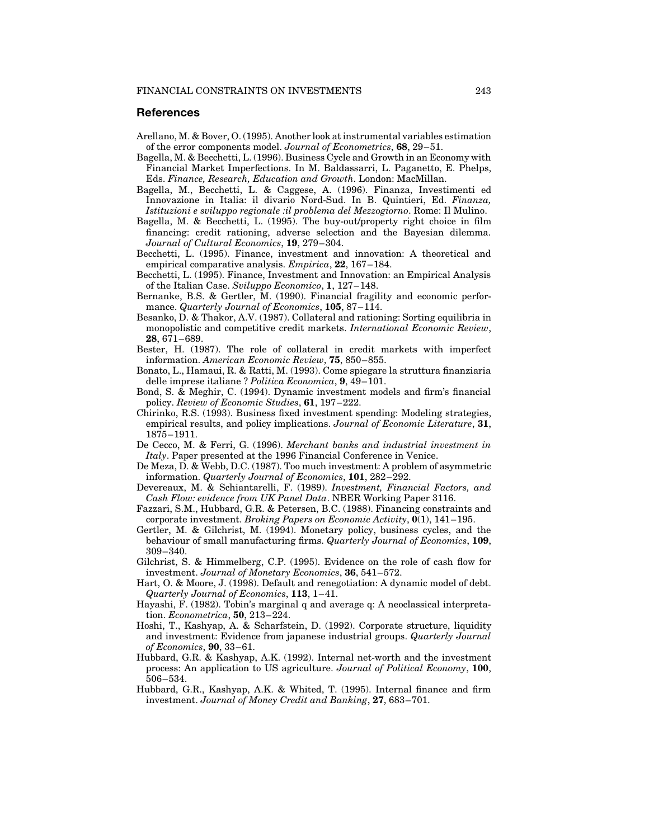#### <span id="page-24-0"></span>**References**

- Arellano, M. & Bover, O. (1995). Another look at instrumental variables estimation of the error components model. *Journal of Econometrics*, **68**, 29–51.
- Bagella, M. & Becchetti, L. (1996). Business Cycle and Growth in an Economy with Financial Market Imperfections. In M. Baldassarri, L. Paganetto, E. Phelps, Eds. *Finance, Research, Education and Growth*. London: MacMillan.
- Bagella, M., Becchetti, L. & Caggese, A. (1996). Finanza, Investimenti ed Innovazione in Italia: il divario Nord-Sud. In B. Quintieri, Ed. *Finanza, Istituzioni e sviluppo regionale :il problema del Mezzogiorno*. Rome: Il Mulino.
- Bagella, M. & Becchetti, L. (1995). The buy-out/property right choice in film financing: credit rationing, adverse selection and the Bayesian dilemma. *Journal of Cultural Economics*, **19**, 279–304.
- Becchetti, L. (1995). Finance, investment and innovation: A theoretical and empirical comparative analysis. *Empirica*, **22**, 167–184.
- Becchetti, L. (1995). Finance, Investment and Innovation: an Empirical Analysis of the Italian Case. *Sviluppo Economico*, **1**, 127–148.
- Bernanke, B.S. & Gertler, M. (1990). Financial fragility and economic performance. *Quarterly Journal of Economics*, **105**, 87–114.
- Besanko, D. & Thakor, A.V. (1987). Collateral and rationing: Sorting equilibria in monopolistic and competitive credit markets. *International Economic Review*, **28**, 671–689.
- Bester, H. (1987). The role of collateral in credit markets with imperfect information. *American Economic Review*, **75**, 850–855.
- Bonato, L., Hamaui, R. & Ratti, M. (1993). Come spiegare la struttura finanziaria delle imprese italiane ? *Politica Economica*, **9**, 49–101.
- Bond, S. & Meghir, C. (1994). Dynamic investment models and firm's financial policy. *Review of Economic Studies*, **61**, 197–222.
- Chirinko, R.S. (1993). Business fixed investment spending: Modeling strategies, empirical results, and policy implications. *Journal of Economic Literature*, **31**, 1875–1911.
- De Cecco, M. & Ferri, G. (1996). *Merchant banks and industrial investment in Italy*. Paper presented at the 1996 Financial Conference in Venice.
- De Meza, D. & Webb, D.C. (1987). Too much investment: A problem of asymmetric information. *Quarterly Journal of Economics*, **101**, 282–292.
- Devereaux, M. & Schiantarelli, F. (1989). *Investment, Financial Factors, and Cash Flow: evidence from UK Panel Data*. NBER Working Paper 3116.
- Fazzari, S.M., Hubbard, G.R. & Petersen, B.C. (1988). Financing constraints and corporate investment. *Broking Papers on Economic Activity*, **0**(1), 141–195.
- Gertler, M. & Gilchrist, M. (1994). Monetary policy, business cycles, and the behaviour of small manufacturing firms. *Quarterly Journal of Economics*, **109**, 309–340.
- Gilchrist, S. & Himmelberg, C.P. (1995). Evidence on the role of cash flow for investment. *Journal of Monetary Economics*, **36**, 541–572.
- Hart, O. & Moore, J. (1998). Default and renegotiation: A dynamic model of debt. *Quarterly Journal of Economics*, **113**, 1–41.
- Hayashi, F. (1982). Tobin's marginal q and average q: A neoclassical interpretation. *Econometrica*, **50**, 213–224.
- Hoshi, T., Kashyap, A. & Scharfstein, D. (1992). Corporate structure, liquidity and investment: Evidence from japanese industrial groups. *Quarterly Journal of Economics*, **90**, 33–61.
- Hubbard, G.R. & Kashyap, A.K. (1992). Internal net-worth and the investment process: An application to US agriculture. *Journal of Political Economy*, **100**, 506–534.
- Hubbard, G.R., Kashyap, A.K. & Whited, T. (1995). Internal finance and firm investment. *Journal of Money Credit and Banking*, **27**, 683–701.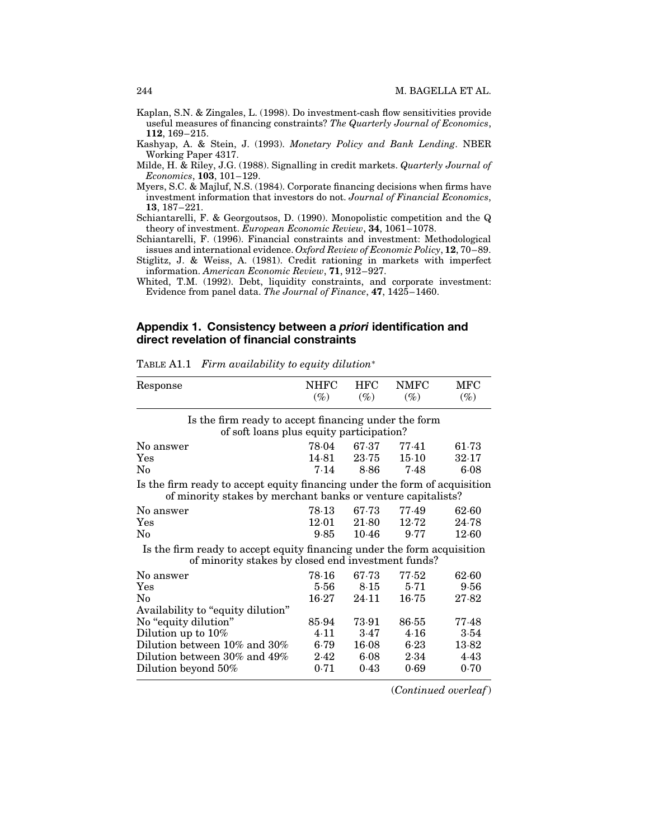Kaplan, S.N. & Zingales, L. (1998). Do investment-cash flow sensitivities provide useful measures of financing constraints? *The Quarterly Journal of Economics*, **112**, 169–215.

Kashyap, A. & Stein, J. (1993). *Monetary Policy and Bank Lending*. NBER Working Paper 4317.

Milde, H. & Riley, J.G. (1988). Signalling in credit markets. *Quarterly Journal of Economics*, **103**, 101–129.

Myers, S.C. & Majluf, N.S. (1984). Corporate financing decisions when firms have investment information that investors do not. *Journal of Financial Economics*, **13**, 187–221.

Schiantarelli, F. & Georgoutsos, D. (1990). Monopolistic competition and the Q theory of investment. *European Economic Review*, **34**, 1061–1078.

Schiantarelli, F. (1996). Financial constraints and investment: Methodological issues and international evidence. *Oxford Review of Economic Policy*, **12**, 70–89.

Stiglitz, J. & Weiss, A. (1981). Credit rationing in markets with imperfect information. *American Economic Review*, **71**, 912–927.

## **Appendix 1. Consistency between a** *priori* **identification and direct revelation of financial constraints**

| Response                                                                                                                                   | <b>NHFC</b> | <b>HFC</b> | <b>NMFC</b> | MFC    |
|--------------------------------------------------------------------------------------------------------------------------------------------|-------------|------------|-------------|--------|
|                                                                                                                                            | $(\%)$      | $(\%)$     | $(\%)$      | $(\%)$ |
| Is the firm ready to accept financing under the form                                                                                       |             |            |             |        |
| of soft loans plus equity participation?                                                                                                   |             |            |             |        |
| No answer                                                                                                                                  | 78.04       | 67.37      | 77.41       | 61.73  |
| Yes                                                                                                                                        | 14.81       | 23.75      | $15-10$     | 32.17  |
| $\rm No$                                                                                                                                   | 7.14        | 8.86       | 7.48        | 6.08   |
| Is the firm ready to accept equity financing under the form of acquisition<br>of minority stakes by merchant banks or venture capitalists? |             |            |             |        |
| No answer                                                                                                                                  | 78.13       | 67.73      | 77.49       | 62.60  |
| Yes                                                                                                                                        | 12.01       | 21.80      | 12.72       | 24.78  |
| $\rm No$                                                                                                                                   | 9.85        | 10.46      | 9.77        | 12.60  |
| Is the firm ready to accept equity financing under the form acquisition<br>of minority stakes by closed end investment funds?              |             |            |             |        |
| No answer                                                                                                                                  | 78.16       | 67.73      | 77.52       | 62.60  |
| Yes                                                                                                                                        | 5.56        | 8.15       | 5.71        | 9.56   |
| $\rm No$                                                                                                                                   | 16.27       | 24.11      | 16.75       | 27.82  |
| Availability to "equity dilution"                                                                                                          |             |            |             |        |
| No "equity dilution"                                                                                                                       | 85.94       | 73.91      | 86.55       | 77.48  |
| Dilution up to 10%                                                                                                                         | 4.11        | 3.47       | 4.16        | 3.54   |
| Dilution between 10% and 30%                                                                                                               | 6.79        | 16.08      | 6.23        | 13.82  |
| Dilution between $30\%$ and $49\%$                                                                                                         | 2.42        | 6.08       | 2.34        | 4.43   |
| Dilution beyond 50%                                                                                                                        | 0.71        | 0.43       | 0.69        | 0.70   |

TABLE A1.1 *Firm availability to equity dilution\** 

(*Continued overleaf*)

<span id="page-25-0"></span>

Whited, T.M. (1992). Debt, liquidity constraints, and corporate investment: Evidence from panel data. *The Journal of Finance*, **47**, 1425–1460.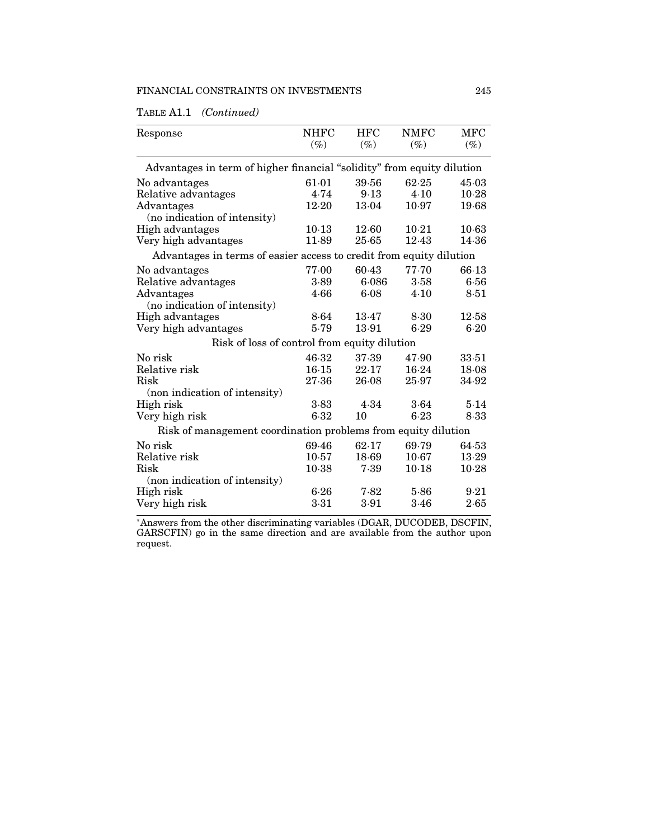| TABLE A1.1 | (Continued) |
|------------|-------------|
|------------|-------------|

| Response                                                               | <b>NHFC</b> | <b>HFC</b> | <b>NMFC</b> | MFC    |
|------------------------------------------------------------------------|-------------|------------|-------------|--------|
|                                                                        | $(\%)$      | $(\%)$     | $(\%)$      | $(\%)$ |
| Advantages in term of higher financial "solidity" from equity dilution |             |            |             |        |
| No advantages                                                          | 61.01       | 39.56      | 62.25       | 45.03  |
| Relative advantages                                                    | 4.74        | 9.13       | 4.10        | 10.28  |
| Advantages                                                             | 12.20       | 13.04      | 10.97       | 19.68  |
| (no indication of intensity)                                           |             |            |             |        |
| High advantages                                                        | 10.13       | 12.60      | 10.21       | 10.63  |
| Very high advantages                                                   | 11.89       | 25.65      | 12.43       | 14.36  |
| Advantages in terms of easier access to credit from equity dilution    |             |            |             |        |
| No advantages                                                          | 77.00       | 60.43      | 77.70       | 66.13  |
| Relative advantages                                                    | 3.89        | 6.086      | 3.58        | 6.56   |
| Advantages                                                             | 4.66        | 6.08       | 4.10        | 8.51   |
| (no indication of intensity)                                           |             |            |             |        |
| High advantages                                                        | 8.64        | 13.47      | 8.30        | 12.58  |
| Very high advantages                                                   | 5.79        | 13.91      | 6.29        | 6.20   |
| Risk of loss of control from equity dilution                           |             |            |             |        |
| No risk                                                                | 46.32       | 37.39      | 47.90       | 33.51  |
| Relative risk                                                          | 16.15       | 22.17      | 16.24       | 18.08  |
| Risk                                                                   | 27.36       | 26.08      | 25.97       | 34.92  |
| (non indication of intensity)                                          |             |            |             |        |
| High risk                                                              | 3.83        | 4.34       | 3.64        | 5.14   |
| Very high risk                                                         | 6.32        | 10         | 6.23        | 8.33   |
| Risk of management coordination problems from equity dilution          |             |            |             |        |
| No risk                                                                | 69.46       | 62.17      | 69.79       | 64.53  |
| Relative risk                                                          | 10.57       | 18.69      | 10.67       | 13.29  |
| Risk                                                                   | 10.38       | 7.39       | 10.18       | 10.28  |
| (non indication of intensity)                                          |             |            |             |        |
| High risk                                                              | 6.26        | 7.82       | 5.86        | 9.21   |
| Very high risk                                                         | 3.31        | 3.91       | 3.46        | 2.65   |

\*Answers from the other discriminating variables (DGAR, DUCODEB, DSCFIN, GARSCFIN) go in the same direction and are available from the author upon request.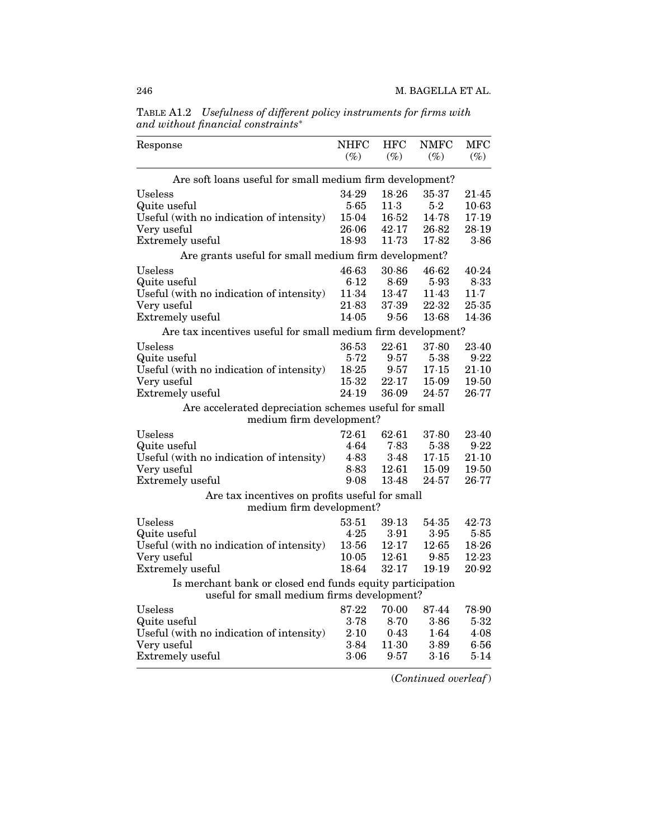| Are soft loans useful for small medium firm development?<br>34.29<br>18.26<br>Useless<br>35.37<br>21.45<br>5.65<br>5.2<br>Quite useful<br>11.3<br>10.63 |
|---------------------------------------------------------------------------------------------------------------------------------------------------------|
|                                                                                                                                                         |
|                                                                                                                                                         |
|                                                                                                                                                         |
| Useful (with no indication of intensity)<br>16.52<br>14.78<br>17.19<br>15.04                                                                            |
| 42.17<br>28.19<br>Very useful<br>26.06<br>26.82                                                                                                         |
| Extremely useful<br>18.93<br>11.73<br>17.82<br>3.86                                                                                                     |
| Are grants useful for small medium firm development?                                                                                                    |
| Useless<br>46.63<br>30.86<br>46.62<br>40.24                                                                                                             |
| Quite useful<br>6.12<br>8.69<br>5.93<br>8.33                                                                                                            |
| Useful (with no indication of intensity)<br>11.34<br>13.47<br>11.43<br>$11-7$                                                                           |
| Very useful<br>21.83<br>37.39<br>22.32<br>25.35                                                                                                         |
| 13.68<br>14.36<br>Extremely useful<br>14.05<br>9.56                                                                                                     |
| Are tax incentives useful for small medium firm development?                                                                                            |
| 36.53<br>22.61<br>Useless<br>37.80<br>23.40                                                                                                             |
| 5.72<br>9.57<br>9.22<br>Quite useful<br>5.38                                                                                                            |
| Useful (with no indication of intensity)<br>18.25<br>9.57<br>17.15<br>$21-10$                                                                           |
| 15.32<br>19.50<br>Very useful<br>22.17<br>15.09                                                                                                         |
| Extremely useful<br>24.19<br>36.09<br>24.57<br>26.77                                                                                                    |
| Are accelerated depreciation schemes useful for small<br>medium firm development?                                                                       |
| Useless<br>72.61<br>62.61<br>37.80<br>23.40                                                                                                             |
| Quite useful<br>4.64<br>7.83<br>5.38<br>9.22                                                                                                            |
| Useful (with no indication of intensity)<br>4.83<br>3.48<br>17.15<br>$21-10$                                                                            |
| 8.83<br>15.09<br>Very useful<br>12.61<br>19.50                                                                                                          |
| Extremely useful<br>9.08<br>13.48<br>24.57<br>$26\!\cdot\!77$                                                                                           |
| Are tax incentives on profits useful for small                                                                                                          |
| medium firm development?                                                                                                                                |
| Useless<br>53.51<br>39.13<br>54.35<br>42.73                                                                                                             |
| 4.25<br>Quite useful<br>3.91<br>3.95<br>5.85                                                                                                            |
| Useful (with no indication of intensity)<br>18.26<br>13.56<br>12.17<br>12.65                                                                            |
| 12.61<br>12.23<br>Very useful<br>10.05<br>9.85                                                                                                          |
| 18.64<br>32.17<br>20.92<br>Extremely useful<br>19.19                                                                                                    |
| Is merchant bank or closed end funds equity participation<br>useful for small medium firms development?                                                 |
| Useless<br>87.22<br>70.00<br>87.44<br>78.90                                                                                                             |
| 5.32<br>3.78<br>8.70<br>3.86<br>Quite useful                                                                                                            |
| Useful (with no indication of intensity)<br>2.10<br>4.08<br>0.43<br>1.64                                                                                |
| Very useful<br>3.84<br>11.30<br>3.89<br>6.56                                                                                                            |
| Extremely useful<br>3.06<br>9.57<br>3.16<br>5.14                                                                                                        |

<span id="page-27-0"></span>TABLE A1.2 *Usefulness of different policy instruments for firms with*  $and$  without financial constraints $^\ast$ 

(*Continued overleaf*)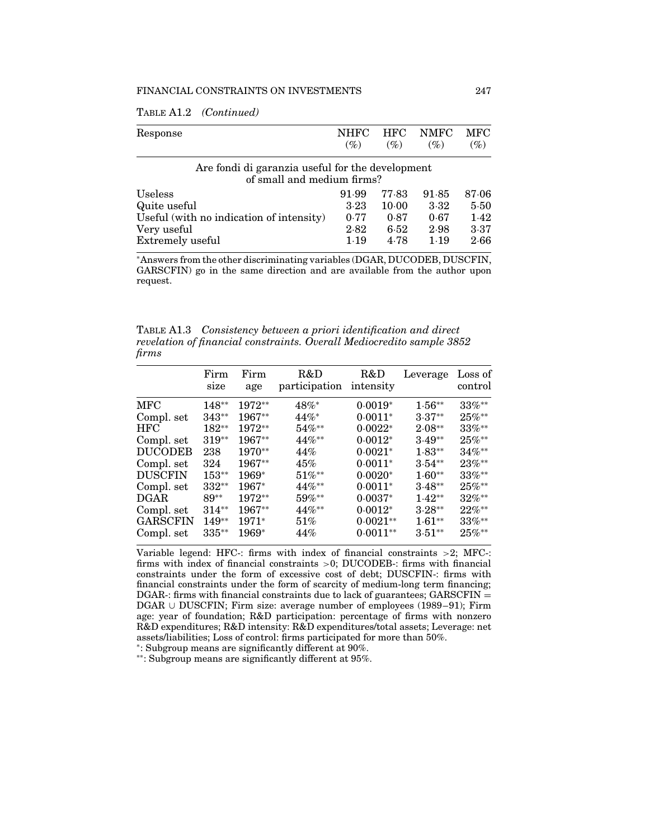<span id="page-28-0"></span>

| TABLE A1.2 | (Continued) |
|------------|-------------|
|------------|-------------|

| Response |        |                                                | NHFC HFC NMFC MFC |     |
|----------|--------|------------------------------------------------|-------------------|-----|
|          | $(\%)$ | $\left( \frac{\partial}{\partial \rho}\right)$ | (9)               | (%) |

| Are fondi di garanzia useful for the development<br>of small and medium firms? |       |       |       |       |  |  |  |  |
|--------------------------------------------------------------------------------|-------|-------|-------|-------|--|--|--|--|
| Useless                                                                        | 91.99 | 77.83 | 91.85 | 87.06 |  |  |  |  |
| Quite useful                                                                   | 3.23  | 10.00 | 3.32  | 5.50  |  |  |  |  |
| Useful (with no indication of intensity)                                       | 0.77  | 0.87  | 0.67  | 1.42  |  |  |  |  |
| Very useful                                                                    | 2.82  | 6.52  | 2.98  | 3.37  |  |  |  |  |
| Extremely useful                                                               | 1.19  | 4.78  | 1.19  | 2.66  |  |  |  |  |

<sup>Ł</sup>Answers from the other discriminating variables (DGAR, DUCODEB, DUSCFIN, GARSCFIN) go in the same direction and are available from the author upon request.

TABLE A1.3 *Consistency between a priori identification and direct revelation of financial constraints. Overall Mediocredito sample 3852 firms*

|                 | Firm<br>size | Firm<br>age | R&D<br>participation | R&D<br>intensity | Leverage | Loss of<br>control |
|-----------------|--------------|-------------|----------------------|------------------|----------|--------------------|
| MFC             | $148**$      | $1972**$    | $48\%$ *             | $0.0019*$        | $1.56**$ | $33\%**$           |
| Compl. set      | $343**$      | $1967**$    | $44\%^*$             | $0.0011*$        | $3.37**$ | $25\%**$           |
| <b>HFC</b>      | $182**$      | $1972**$    | $54\%**$             | $0.0022*$        | $2.08**$ | $33\%^{**}$        |
| Compl. set      | $319**$      | $1967**$    | $44\%^{**}$          | $0.0012*$        | $3.49**$ | $25\%^{**}$        |
| <b>DUCODEB</b>  | 238          | $1970**$    | 44%                  | $0.0021*$        | $1.83**$ | $34\%^{**}$        |
| Compl. set      | 324          | 1967**      | $45\%$               | $0.0011*$        | $3.54**$ | $23\%^{**}$        |
| <b>DUSCFIN</b>  | $153**$      | 1969*       | $51\%**$             | $0.0020*$        | $1.60**$ | $33\%**$           |
| Compl. set      | $332**$      | 1967*       | $44\%^{**}$          | $0.0011*$        | $3.48**$ | $25\%^{**}$        |
| <b>DGAR</b>     | $89**$       | $1972**$    | $59\%**$             | $0.0037*$        | $1.42**$ | $32\%**$           |
| Compl. set      | $314**$      | 1967**      | $44\%^{**}$          | $0.0012*$        | $3.28**$ | $22\%^{**}$        |
| <b>GARSCFIN</b> | $149**$      | $1971*$     | 51%                  | $0.0021**$       | $1.61**$ | $33\%^{**}$        |
| Compl. set      | $335**$      | 1969*       | 44%                  | $0.0011**$       | $3.51**$ | $25\%^{**}$        |

Variable legend: HFC-: firms with index of financial constraints >2; MFC-: firms with index of financial constraints >0; DUCODEB-: firms with financial constraints under the form of excessive cost of debt; DUSCFIN-: firms with financial constraints under the form of scarcity of medium-long term financing; DGAR-: firms with financial constraints due to lack of guarantees; GARSCFIN  $=$  $DGAR \cup DUSCFIN$ ; Firm size: average number of employees (1989–91); Firm age: year of foundation; R&D participation: percentage of firms with nonzero R&D expenditures; R&D intensity: R&D expenditures/total assets; Leverage: net assets/liabilities; Loss of control: firms participated for more than 50%.

\*: Subgroup means are significantly different at 90%.

\*\*: Subgroup means are significantly different at 95%.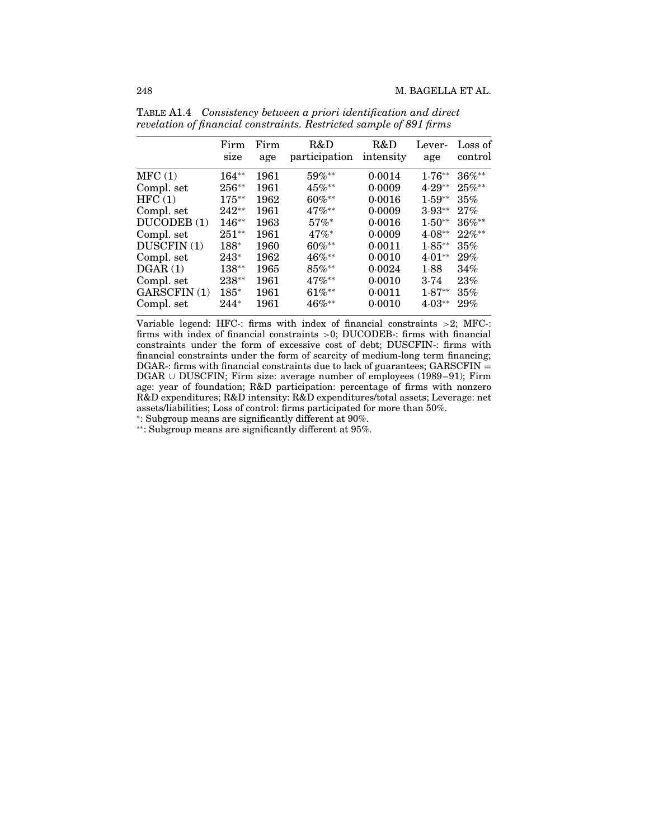|                     | Firm<br>size | Firm<br>age | R&D<br>participation | R&D<br>intensity | Lever-<br>age | Loss of<br>control |
|---------------------|--------------|-------------|----------------------|------------------|---------------|--------------------|
| MFC(1)              | $164**$      | 1961        | $59\%**$             | 0.0014           | $1.76**$      | $36\%^{**}$        |
| Compl. set          | 256**        | 1961        | $45\%^{**}$          | 0.0009           | $4.29**$      | $25\%**$           |
| HFC(1)              | $175**$      | 1962        | $60\%^{**}$          | 0.0016           | $1.59**$      | $35\%$             |
| Compl. set          | $242**$      | 1961        | $47\%**$             | 0.0009           | $3.93**$      | 27%                |
| DUCODEB (1)         | $146**$      | 1963        | $57\%$ *             | 0.0016           | $1.50**$      | $36\%**$           |
| Compl. set          | $251**$      | 1961        | $47\%$ *             | 0.0009           | $4.08**$      | $22\%***$          |
| DUSCFIN(1)          | 188*         | 1960        | $60\%**$             | 0.0011           | $1.85**$      | 35%                |
| Compl. set          | $243*$       | 1962        | $46\%**$             | 0.0010           | $4.01**$      | $29\%$             |
| DGAR(1)             | 138**        | 1965        | $85\%**$             | 0.0024           | 1.88          | 34%                |
| Compl. set          | 238**        | 1961        | $47\%**$             | 0.0010           | 3.74          | 23%                |
| <b>GARSCFIN</b> (1) | $185*$       | 1961        | $61\%**$             | 0.0011           | $1.87**$      | $35\%$             |
| Compl. set          | $244*$       | 1961        | $46\%^{**}$          | 0.0010           | $4.03**$      | 29%                |

<span id="page-29-0"></span>TABLE A1.4 *Consistency between a priori identification and direct revelation of financial constraints. Restricted sample of 891 firms*

Variable legend: HFC-: firms with index of financial constraints  $>2$ ; MFC-: firms with index of financial constraints >0; DUCODEB-: firms with financial constraints under the form of excessive cost of debt; DUSCFIN-: firms with financial constraints under the form of scarcity of medium-long term financing; DGAR-: firms with financial constraints due to lack of guarantees; GARSCFIN  $=$  $DGAR \cup DUSCFIN$ ; Firm size: average number of employees (1989–91); Firm age: year of foundation; R&D participation: percentage of firms with nonzero R&D expenditures; R&D intensity: R&D expenditures/total assets; Leverage: net assets/liabilities; Loss of control: firms participated for more than 50%.

\*: Subgroup means are significantly different at 90%.

\*\*: Subgroup means are significantly different at 95%.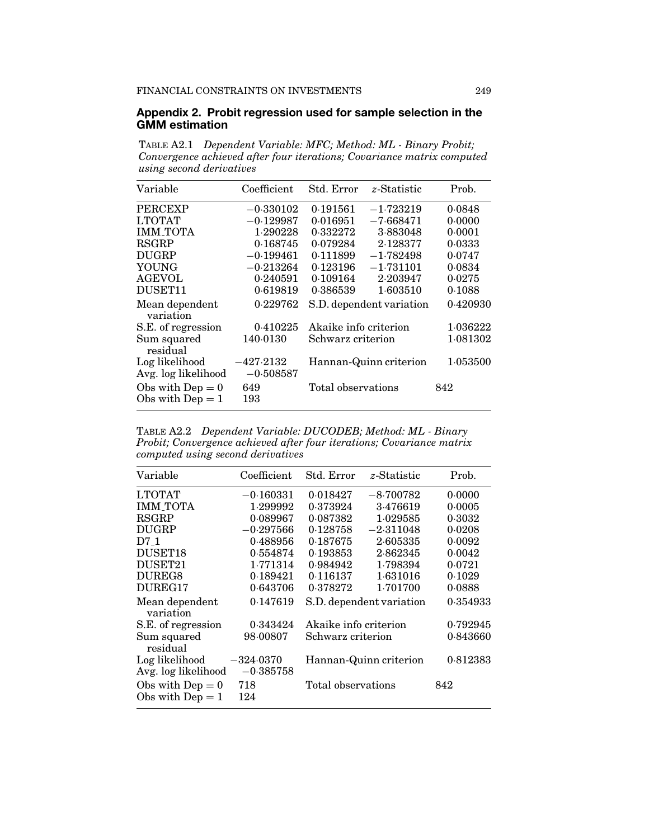## **Appendix 2. Probit regression used for sample selection in the GMM estimation**

TABLE A2.1 *Dependent Variable: MFC; Method: ML - Binary Probit; Convergence achieved after four iterations; Covariance matrix computed using second derivatives*

| Variable                                 | Coefficient                | Std. Error            | z-Statistic              | Prob.    |
|------------------------------------------|----------------------------|-----------------------|--------------------------|----------|
| <b>PERCEXP</b>                           | $-0.330102$                | 0.191561              | $-1.723219$              | 0.0848   |
| <b>LTOTAT</b>                            | $-0.129987$                | 0.016951              | $-7.668471$              | 0.0000   |
| <b>IMM_TOTA</b>                          | 1.290228                   | 0.332272              | 3.883048                 | 0.0001   |
| <b>RSGRP</b>                             | 0.168745                   | 0.079284              | 2.128377                 | 0.0333   |
| <b>DUGRP</b>                             | $-0.199461$                | 0.111899              | $-1.782498$              | 0.0747   |
| <b>YOUNG</b>                             | $-0.213264$                | 0.123196              | $-1.731101$              | 0.0834   |
| <b>AGEVOL</b>                            | 0.240591                   | 0.109164              | 2.203947                 | 0.0275   |
| DUSET11                                  | 0.619819                   | 0.386539              | 1.603510                 | 0.1088   |
| Mean dependent<br>variation              | 0.229762                   |                       | S.D. dependent variation | 0.420930 |
| S.E. of regression                       | 0.410225                   | Akaike info criterion |                          | 1.036222 |
| Sum squared<br>residual                  | 140.0130                   | Schwarz criterion     |                          | 1.081302 |
| Log likelihood<br>Avg. log likelihood    | $-427.2132$<br>$-0.508587$ |                       | Hannan-Quinn criterion   | 1.053500 |
| Obs with $Dep = 0$<br>Obs with $Dep = 1$ | 649<br>193                 | Total observations    |                          | 842      |

TABLE A2.2 *Dependent Variable: DUCODEB; Method: ML - Binary Probit; Convergence achieved after four iterations; Covariance matrix computed using second derivatives*

| Variable                                 | Coefficient                | Std. Error            | z-Statistic              | Prob.    |  |
|------------------------------------------|----------------------------|-----------------------|--------------------------|----------|--|
| <b>LTOTAT</b>                            | $-0.160331$                | 0.018427              | $-8.700782$              | 0.0000   |  |
| <b>IMM_TOTA</b>                          | 1.299992                   | 0.373924              | 3.476619                 | 0.0005   |  |
| <b>RSGRP</b>                             | 0.089967                   | 0.087382              | 1.029585                 | 0.3032   |  |
| <b>DUGRP</b>                             | $-0.297566$                | 0.128758              | $-2.311048$              | 0.0208   |  |
| D7 1                                     | 0.488956                   | 0.187675              | 2.605335                 | 0.0092   |  |
| DUSET <sub>18</sub>                      | 0.554874                   | 0.193853              | 2.862345                 | 0.0042   |  |
| DUSET21                                  | 1.771314                   | 0.984942              | 1.798394                 | 0.0721   |  |
| DUREG8                                   | 0.189421                   | 0.116137              | 1.631016                 | 0.1029   |  |
| DUREG17                                  | 0.643706                   | 0.378272              | 1.701700                 | 0.0888   |  |
| Mean dependent<br>variation              | 0.147619                   |                       | S.D. dependent variation | 0.354933 |  |
| S.E. of regression                       | 0.343424                   | Akaike info criterion |                          | 0.792945 |  |
| Sum squared<br>residual                  | 98.00807                   |                       | Schwarz criterion        |          |  |
| Log likelihood<br>Avg. log likelihood    | $-324.0370$<br>$-0.385758$ |                       | Hannan-Quinn criterion   | 0.812383 |  |
| Obs with $Dep = 0$<br>Obs with $Dep = 1$ | 718<br>124                 | Total observations    |                          | 842      |  |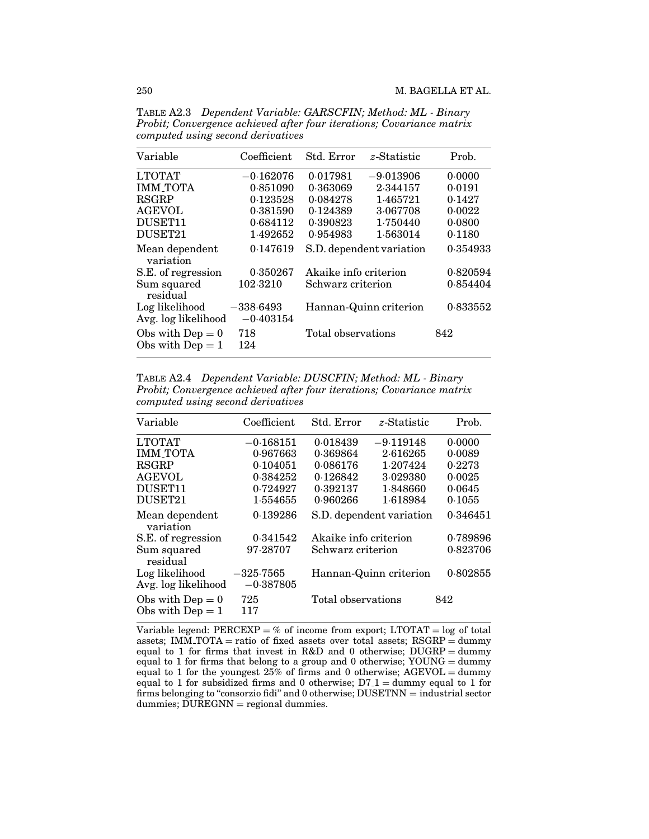TABLE A2.3 *Dependent Variable: GARSCFIN; Method: ML - Binary Probit; Convergence achieved after four iterations; Covariance matrix computed using second derivatives*

| Variable                                 | Coefficient                | Std. Error            | z-Statistic              | Prob.    |
|------------------------------------------|----------------------------|-----------------------|--------------------------|----------|
| <b>LTOTAT</b>                            | $-0.162076$                | 0.017981              | $-9.013906$              | 0.0000   |
| <b>IMM TOTA</b>                          | 0.851090                   | 0.363069              | 2.344157                 | 0.0191   |
| <b>RSGRP</b>                             | 0.123528                   | 0.084278              | 1.465721                 | 0.1427   |
| <b>AGEVOL</b>                            | 0.381590                   | 0.124389              | 3.067708                 | 0.0022   |
| DUSET <sub>11</sub>                      | 0.684112                   | 0.390823              | 1.750440                 | 0.0800   |
| DUSET21                                  | 1.492652                   | 0.954983              | 1.563014                 | 0.1180   |
| Mean dependent<br>variation              | 0.147619                   |                       | S.D. dependent variation | 0.354933 |
| S.E. of regression                       | 0.350267                   | Akaike info criterion |                          | 0.820594 |
| Sum squared<br>residual                  | 102.3210                   | Schwarz criterion     |                          | 0.854404 |
| Log likelihood<br>Avg. log likelihood    | $-338.6493$<br>$-0.403154$ |                       | Hannan-Quinn criterion   | 0.833552 |
| Obs with $Dep = 0$<br>Obs with $Dep = 1$ | 718<br>124                 | Total observations    |                          | 842      |

TABLE A2.4 *Dependent Variable: DUSCFIN; Method: ML - Binary Probit; Convergence achieved after four iterations; Covariance matrix computed using second derivatives*

| Variable                                 | Coefficient                | Std. Error            | z-Statistic              | Prob.    |
|------------------------------------------|----------------------------|-----------------------|--------------------------|----------|
| <b>LTOTAT</b>                            | $-0.168151$                | 0.018439              | $-9.119148$              | 0.0000   |
| <b>IMM_TOTA</b>                          | 0.967663                   | 0.369864              | 2.616265                 | 0.0089   |
| <b>RSGRP</b>                             | 0.104051                   | 0.086176              | 1.207424                 | 0.2273   |
| <b>AGEVOL</b>                            | 0.384252                   | 0.126842              | 3.029380                 | 0.0025   |
| DUSET <sub>11</sub>                      | 0.724927                   | 0.392137              | 1.848660                 | 0.0645   |
| DUSET21                                  | 1.554655                   | 0.960266              | 1.618984                 | 0.1055   |
| Mean dependent<br>variation              | 0.139286                   |                       | S.D. dependent variation | 0.346451 |
| S.E. of regression                       | 0.341542                   | Akaike info criterion |                          | 0.789896 |
| Sum squared<br>residual                  | 97.28707                   | Schwarz criterion     |                          | 0.823706 |
| Log likelihood<br>Avg. log likelihood    | $-325.7565$<br>$-0.387805$ |                       | Hannan-Quinn criterion   | 0.802855 |
| Obs with $Dep = 0$<br>Obs with $Dep = 1$ | 725<br>117                 | Total observations    |                          | 842      |

Variable legend:  $PERCEXP = %$  of income from export;  $LTOTAT = log$  of total assets; IMM\_TOTA = ratio of fixed assets over total assets;  $\text{RSGRP} = \text{dummy}$ equal to 1 for firms that invest in R&D and 0 otherwise;  $DUGRP =$  dummy equal to 1 for firms that belong to a group and 0 otherwise;  $\text{YOUNG} = \text{dummy}$ equal to 1 for the youngest  $25\%$  of firms and 0 otherwise;  $AGEVOL = dummy$ equal to 1 for subsidized firms and 0 otherwise;  $D7.1 =$  dummy equal to 1 for firms belonging to "consorzio fidi" and 0 otherwise;  $DUSERNN = industrial sector$ dummies;  $\overline{DUREGNN}$  = regional dummies.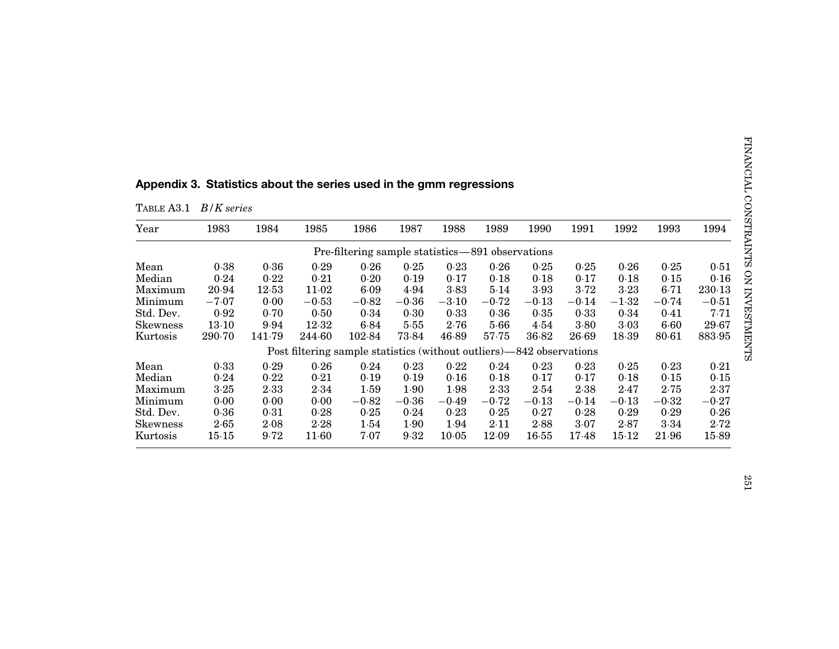# <span id="page-32-0"></span>**Appendix 3. Statistics about the series used in the gmm regressions**

|  | TABLE A3.1 |  | $B/K$ series |  |
|--|------------|--|--------------|--|
|--|------------|--|--------------|--|

| Year            | 1983                                             | 1984   | 1985                                                                 | 1986    | 1987    | 1988    | 1989    | 1990            | 1991    | 1992    | 1993    | 1994    |
|-----------------|--------------------------------------------------|--------|----------------------------------------------------------------------|---------|---------|---------|---------|-----------------|---------|---------|---------|---------|
|                 | Pre-filtering sample statistics—891 observations |        |                                                                      |         |         |         |         |                 |         |         |         |         |
| Mean            | 0.38                                             | 0.36   | 0.29                                                                 | 0.26    | 0.25    | 0.23    | 0.26    | 0.25            | 0.25    | 0.26    | 0.25    | 0.51    |
| Median          | 0.24                                             | 0.22   | 0.21                                                                 | 0.20    | 0.19    | 0.17    | 0.18    | 0.18            | 0.17    | 0.18    | 0.15    | 0.16    |
| Maximum         | 20.94                                            | 12.53  | 11.02                                                                | 6.09    | 4.94    | 3.83    | 5.14    | 3.93            | 3.72    | 3.23    | 6.71    | 230.13  |
| Minimum         | $-7.07$                                          | 0.00   | $-0.53$                                                              | $-0.82$ | $-0.36$ | $-3.10$ | $-0.72$ | $-0.13$         | $-0.14$ | $-1.32$ | $-0.74$ | $-0.51$ |
| Std. Dev.       | 0.92                                             | 0.70   | 0.50                                                                 | 0.34    | 0.30    | 0.33    | 0.36    | 0.35            | 0.33    | 0.34    | 0.41    | 7.71    |
| <b>Skewness</b> | 13.10                                            | 9.94   | 12.32                                                                | 6.84    | 5.55    | 2.76    | 5.66    | 4.54            | 3.80    | 3.03    | 6.60    | 29.67   |
| Kurtosis        | 290.70                                           | 141.79 | 244.60                                                               | 102.84  | 73.84   | 46.89   | 57.75   | 36.82           | 26.69   | 18.39   | 80.61   | 883.95  |
|                 |                                                  |        | Post filtering sample statistics (without outliers)—842 observations |         |         |         |         |                 |         |         |         |         |
| Mean            | 0.33                                             | 0.29   | 0.26                                                                 | 0.24    | 0.23    | 0.22    | 0.24    | 0.23            | 0.23    | 0.25    | 0.23    | 0.21    |
| Median          | 0.24                                             | 0.22   | 0.21                                                                 | 0.19    | 0.19    | 0.16    | 0.18    | 0.17            | 0.17    | 0.18    | 0.15    | 0.15    |
| Maximum         | 3.25                                             | 2.33   | 2.34                                                                 | 1.59    | 1.90    | 1.98    | 2.33    | 2.54            | 2.38    | 2.47    | 2.75    | 2.37    |
| Minimum         | 0.00                                             | 0.00   | 0.00                                                                 | $-0.82$ | $-0.36$ | $-0.49$ | $-0.72$ | $-0.13$         | $-0.14$ | $-0.13$ | $-0.32$ | $-0.27$ |
| Std. Dev.       | 0.36                                             | 0.31   | 0.28                                                                 | 0.25    | 0.24    | 0.23    | 0.25    | 0.27            | 0.28    | 0.29    | 0.29    | 0.26    |
| <b>Skewness</b> | 2.65                                             | 2.08   | 2.28                                                                 | 1.54    | 1.90    | 1.94    | 2.11    | 2.88            | 3.07    | 2.87    | 3.34    | 2.72    |
| Kurtosis        | 15.15                                            | 9.72   | 11.60                                                                | 7.07    | 9.32    | 10.05   | 12.09   | $16\!\cdot\!55$ | 17.48   | $15-12$ | 21.96   | 15.89   |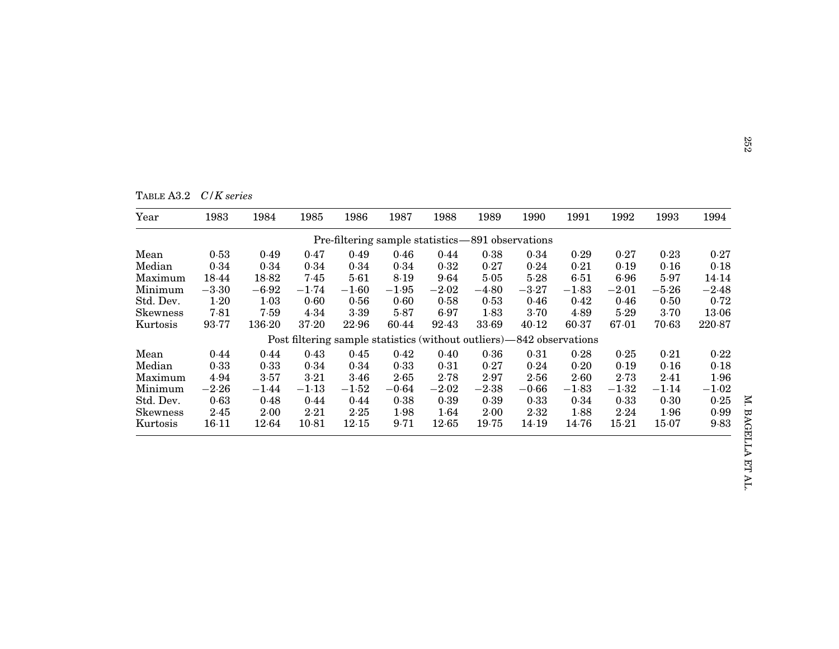TABLE A3.2 *C/K series*

| Year      | 1983    | 1984    | 1985    | 1986    | 1987    | 1988    | 1989    | 1990                                                                 | 1991    | 1992    | 1993    | 1994    |
|-----------|---------|---------|---------|---------|---------|---------|---------|----------------------------------------------------------------------|---------|---------|---------|---------|
|           |         |         |         |         |         |         |         | Pre-filtering sample statistics-891 observations                     |         |         |         |         |
| Mean      | 0.53    | 0.49    | 0.47    | 0.49    | 0.46    | 0.44    | 0.38    | 0.34                                                                 | 0.29    | 0.27    | 0.23    | 0.27    |
| Median    | 0.34    | 0.34    | 0.34    | 0.34    | 0.34    | 0.32    | 0.27    | 0.24                                                                 | 0.21    | 0.19    | 0.16    | 0.18    |
| Maximum   | 18.44   | 18.82   | 7.45    | 5.61    | 8.19    | 9.64    | 5.05    | 5.28                                                                 | 6.51    | 6.96    | 5.97    | 14.14   |
| Minimum   | $-3.30$ | $-6.92$ | $-1.74$ | $-1.60$ | $-1.95$ | $-2.02$ | $-4.80$ | $-3.27$                                                              | $-1.83$ | $-2.01$ | $-5.26$ | $-2.48$ |
| Std. Dev. | 1.20    | 1.03    | 0.60    | 0.56    | 0.60    | 0.58    | 0.53    | 0.46                                                                 | 0.42    | 0.46    | 0.50    | 0.72    |
| Skewness  | 7.81    | 7.59    | 4.34    | 3.39    | 5.87    | 6.97    | 1.83    | 3.70                                                                 | 4.89    | 5.29    | 3.70    | 13.06   |
| Kurtosis  | 93.77   | 136.20  | 37.20   | 22.96   | 60.44   | 92.43   | 33.69   | 40.12                                                                | 60.37   | 67.01   | 70.63   | 220.87  |
|           |         |         |         |         |         |         |         | Post filtering sample statistics (without outliers)—842 observations |         |         |         |         |
| Mean      | 0.44    | 0.44    | 0.43    | 0.45    | 0.42    | 0.40    | 0.36    | 0.31                                                                 | 0.28    | 0.25    | 0.21    | 0.22    |
| Median    | 0.33    | 0.33    | 0.34    | 0.34    | 0.33    | 0.31    | 0.27    | 0.24                                                                 | 0.20    | 0.19    | 0.16    | 0.18    |
| Maximum   | 4.94    | 3.57    | 3.21    | 3.46    | 2.65    | 2.78    | 2.97    | 2.56                                                                 | 2.60    | 2.73    | 2.41    | 1.96    |
| Minimum   | $-2.26$ | $-1.44$ | $-1.13$ | $-1.52$ | $-0.64$ | $-2.02$ | $-2.38$ | $-0.66$                                                              | $-1.83$ | $-1.32$ | $-1.14$ | $-1.02$ |
| Std. Dev. | 0.63    | 0.48    | 0.44    | 0.44    | 0.38    | 0.39    | 0.39    | 0.33                                                                 | 0.34    | 0.33    | 0.30    | 0.25    |
| Skewness  | 2.45    | 2.00    | 2.21    | 2.25    | 1.98    | 1.64    | 2.00    | 2.32                                                                 | 1.88    | 2.24    | 1.96    | 0.99    |
| Kurtosis  | 16.11   | 12.64   | 10.81   | 12.15   | 9.71    | 12.65   | 19.75   | 14.19                                                                | 14.76   | 15.21   | 15.07   | 9.83    |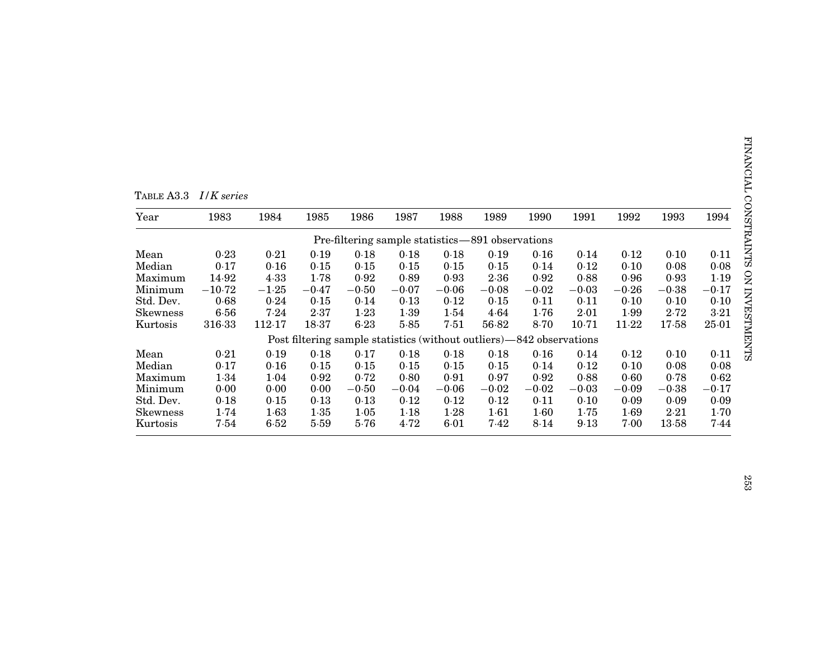| TABLE A3.3 |  | I/K series |
|------------|--|------------|
|            |  |            |
|            |  |            |
|            |  |            |

| Year                                                                 | 1983     | 1984    | 1985    | 1986    | 1987    | 1988    | 1989    | 1990    | 1991    | 1992    | 1993    | 1994    |
|----------------------------------------------------------------------|----------|---------|---------|---------|---------|---------|---------|---------|---------|---------|---------|---------|
| Pre-filtering sample statistics—891 observations                     |          |         |         |         |         |         |         |         |         |         |         |         |
| Mean                                                                 | 0.23     | 0.21    | 0.19    | 0.18    | 0.18    | 0.18    | 0.19    | 0.16    | 0.14    | 0.12    | 0.10    | 0.11    |
| Median                                                               | 0.17     | 0.16    | 0.15    | 0.15    | 0.15    | 0.15    | 0.15    | 0.14    | 0.12    | 0.10    | 0.08    | 0.08    |
| Maximum                                                              | 14.92    | 4.33    | 1.78    | 0.92    | 0.89    | 0.93    | 2.36    | 0.92    | 0.88    | 0.96    | 0.93    | 1.19    |
| Minimum                                                              | $-10.72$ | $-1.25$ | $-0.47$ | $-0.50$ | $-0.07$ | $-0.06$ | $-0.08$ | $-0.02$ | $-0.03$ | $-0.26$ | $-0.38$ | $-0.17$ |
| Std. Dev.                                                            | 0.68     | 0.24    | 0.15    | 0.14    | 0.13    | 0.12    | 0.15    | 0.11    | 0.11    | 0.10    | 0.10    | 0.10    |
| Skewness                                                             | 6.56     | 7.24    | 2.37    | 1.23    | 1.39    | 1.54    | 4.64    | 1.76    | 2.01    | 1.99    | 2.72    | 3.21    |
| Kurtosis                                                             | 316.33   | 112.17  | 18.37   | 6.23    | 5.85    | 7.51    | 56.82   | 8.70    | 10.71   | 11.22   | 17.58   | 25.01   |
| Post filtering sample statistics (without outliers)—842 observations |          |         |         |         |         |         |         |         |         |         |         |         |
| Mean                                                                 | 0.21     | 0.19    | 0.18    | 0.17    | 0.18    | 0.18    | 0.18    | 0.16    | 0.14    | 0.12    | 0.10    | 0.11    |
| Median                                                               | 0.17     | 0.16    | 0.15    | 0.15    | 0.15    | 0.15    | 0.15    | 0.14    | 0.12    | 0.10    | 0.08    | 0.08    |
| Maximum                                                              | 1.34     | 1.04    | 0.92    | 0.72    | 0.80    | 0.91    | 0.97    | 0.92    | 0.88    | 0.60    | 0.78    | 0.62    |
| Minimum                                                              | 0.00     | 0.00    | 0.00    | $-0.50$ | $-0.04$ | $-0.06$ | $-0.02$ | $-0.02$ | $-0.03$ | $-0.09$ | $-0.38$ | $-0.17$ |
| Std. Dev.                                                            | 0.18     | 0.15    | 0.13    | 0.13    | 0.12    | 0.12    | 0.12    | 0.11    | 0.10    | 0.09    | 0.09    | 0.09    |
| Skewness                                                             | 1.74     | 1.63    | 1.35    | 1.05    | 1.18    | 1.28    | 1.61    | 1.60    | 1.75    | 1.69    | 2.21    | 1.70    |
| Kurtosis                                                             | 7.54     | 6.52    | 5.59    | 5.76    | 4.72    | 6.01    | 7.42    | 8.14    | 9.13    | 7.00    | 13.58   | 7.44    |